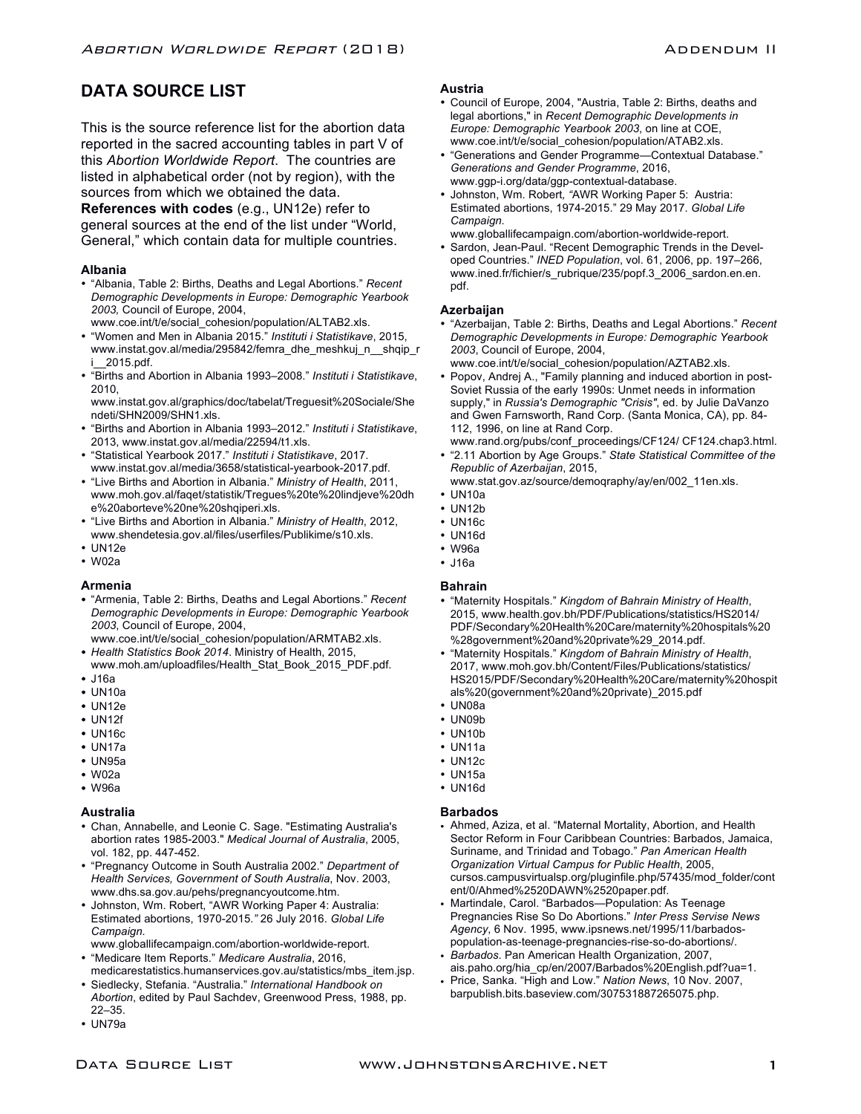# **DATA SOURCE LIST**

This is the source reference list for the abortion data reported in the sacred accounting tables in part V of this *Abortion Worldwide Report*. The countries are listed in alphabetical order (not by region), with the sources from which we obtained the data.

**References with codes** (e.g., UN12e) refer to general sources at the end of the list under "World, General," which contain data for multiple countries.

# **Albania**

• "Albania, Table 2: Births, Deaths and Legal Abortions." *Recent Demographic Developments in Europe: Demographic Yearbook 2003,* Council of Europe, 2004,

www.coe.int/t/e/social\_cohesion/population/ALTAB2.xls.

- "Women and Men in Albania 2015." *Instituti i Statistikave*, 2015, www.instat.gov.al/media/295842/femra\_dhe\_meshkuj\_n\_\_shqip\_r i\_\_2015.pdf.
- "Births and Abortion in Albania 1993–2008." *Instituti i Statistikave*, 2010,

www.instat.gov.al/graphics/doc/tabelat/Treguesit%20Sociale/She ndeti/SHN2009/SHN1.xls.

- "Births and Abortion in Albania 1993–2012." *Instituti i Statistikave*, 2013, www.instat.gov.al/media/22594/t1.xls.
- "Statistical Yearbook 2017." *Instituti i Statistikave*, 2017. www.instat.gov.al/media/3658/statistical-yearbook-2017.pdf.
- "Live Births and Abortion in Albania." *Ministry of Health*, 2011, www.moh.gov.al/faqet/statistik/Tregues%20te%20lindjeve%20dh e%20aborteve%20ne%20shqiperi.xls.
- "Live Births and Abortion in Albania." *Ministry of Health*, 2012, www.shendetesia.gov.al/files/userfiles/Publikime/s10.xls.
- UN12e
- W02a

#### **Armenia**

• "Armenia, Table 2: Births, Deaths and Legal Abortions." *Recent Demographic Developments in Europe: Demographic Yearbook 2003*, Council of Europe, 2004,

www.coe.int/t/e/social\_cohesion/population/ARMTAB2.xls. • *Health Statistics Book 2014*. Ministry of Health, 2015,

- www.moh.am/uploadfiles/Health\_Stat\_Book\_2015\_PDF.pdf. • J16a
- UN10a
- UN12e
- UN12f
- UN16c
- 
- UN17a
- UN95a
- W02a
- W96a

#### **Australia**

- Chan, Annabelle, and Leonie C. Sage. "Estimating Australia's abortion rates 1985-2003." *Medical Journal of Australia*, 2005, vol. 182, pp. 447-452.
- "Pregnancy Outcome in South Australia 2002." *Department of Health Services, Government of South Australia*, Nov. 2003, www.dhs.sa.gov.au/pehs/pregnancyoutcome.htm.
- Johnston, Wm. Robert, "AWR Working Paper 4: Australia: Estimated abortions, 1970-2015*."* 26 July 2016. *Global Life Campaign.*
- www.globallifecampaign.com/abortion-worldwide-report.
- "Medicare Item Reports." *Medicare Australia*, 2016, medicarestatistics.humanservices.gov.au/statistics/mbs\_item.jsp.
- Siedlecky, Stefania. "Australia." *International Handbook on Abortion*, edited by Paul Sachdev, Greenwood Press, 1988, pp. 22–35.
- UN79a

# **Austria**

- Council of Europe, 2004, "Austria, Table 2: Births, deaths and legal abortions," in *Recent Demographic Developments in Europe: Demographic Yearbook 2003*, on line at COE, www.coe.int/t/e/social\_cohesion/population/ATAB2.xls.
- "Generations and Gender Programme—Contextual Database." *Generations and Gender Programme*, 2016, www.ggp-i.org/data/ggp-contextual-database.
- Johnston, Wm. Robert*, "*AWR Working Paper 5: Austria: Estimated abortions, 1974-2015." 29 May 2017. *Global Life Campaign.*
- www.globallifecampaign.com/abortion-worldwide-report.
- Sardon, Jean-Paul. "Recent Demographic Trends in the Developed Countries." *INED Population*, vol. 61, 2006, pp. 197–266, www.ined.fr/fichier/s\_rubrique/235/popf.3\_2006\_sardon.en.en. pdf.

# **Azerbaijan**

- "Azerbaijan, Table 2: Births, Deaths and Legal Abortions." *Recent Demographic Developments in Europe: Demographic Yearbook 2003*, Council of Europe, 2004, www.coe.int/t/e/social\_cohesion/population/AZTAB2.xls.
- Popov, Andrej A., "Family planning and induced abortion in post-Soviet Russia of the early 1990s: Unmet needs in information supply," in *Russia's Demographic "Crisis"*, ed. by Julie DaVanzo and Gwen Farnsworth, Rand Corp. (Santa Monica, CA), pp. 84- 112, 1996, on line at Rand Corp.
- www.rand.org/pubs/conf\_proceedings/CF124/ CF124.chap3.html. • "2.11 Abortion by Age Groups." *State Statistical Committee of the Republic of Azerbaijan*, 2015,
- www.stat.gov.az/source/demoqraphy/ay/en/002\_11en.xls.
- UN10a
- UN12b
- UN16c
- UN16d
- W96a
- J16a

#### **Bahrain**

- "Maternity Hospitals." *Kingdom of Bahrain Ministry of Health*, 2015, www.health.gov.bh/PDF/Publications/statistics/HS2014/ PDF/Secondary%20Health%20Care/maternity%20hospitals%20 %28government%20and%20private%29\_2014.pdf.
- "Maternity Hospitals." *Kingdom of Bahrain Ministry of Health*, 2017, www.moh.gov.bh/Content/Files/Publications/statistics/ HS2015/PDF/Secondary%20Health%20Care/maternity%20hospit als%20(government%20and%20private)\_2015.pdf
- UN08a
- UN09b
- $\cdot$  UN10b
- UN11a
- UN12c
- UN15a
- UN16d

# **Barbados**

- Ahmed, Aziza, et al. "Maternal Mortality, Abortion, and Health Sector Reform in Four Caribbean Countries: Barbados, Jamaica, Suriname, and Trinidad and Tobago." *Pan American Health Organization Virtual Campus for Public Health*, 2005, cursos.campusvirtualsp.org/pluginfile.php/57435/mod\_folder/cont ent/0/Ahmed%2520DAWN%2520paper.pdf.
- Martindale, Carol. "Barbados—Population: As Teenage Pregnancies Rise So Do Abortions." *Inter Press Servise News Agency*, 6 Nov. 1995, www.ipsnews.net/1995/11/barbadospopulation-as-teenage-pregnancies-rise-so-do-abortions/.
- *Barbados*. Pan American Health Organization, 2007, ais.paho.org/hia\_cp/en/2007/Barbados%20English.pdf?ua=1.
- Price, Sanka. "High and Low." *Nation News*, 10 Nov. 2007, barpublish.bits.baseview.com/307531887265075.php.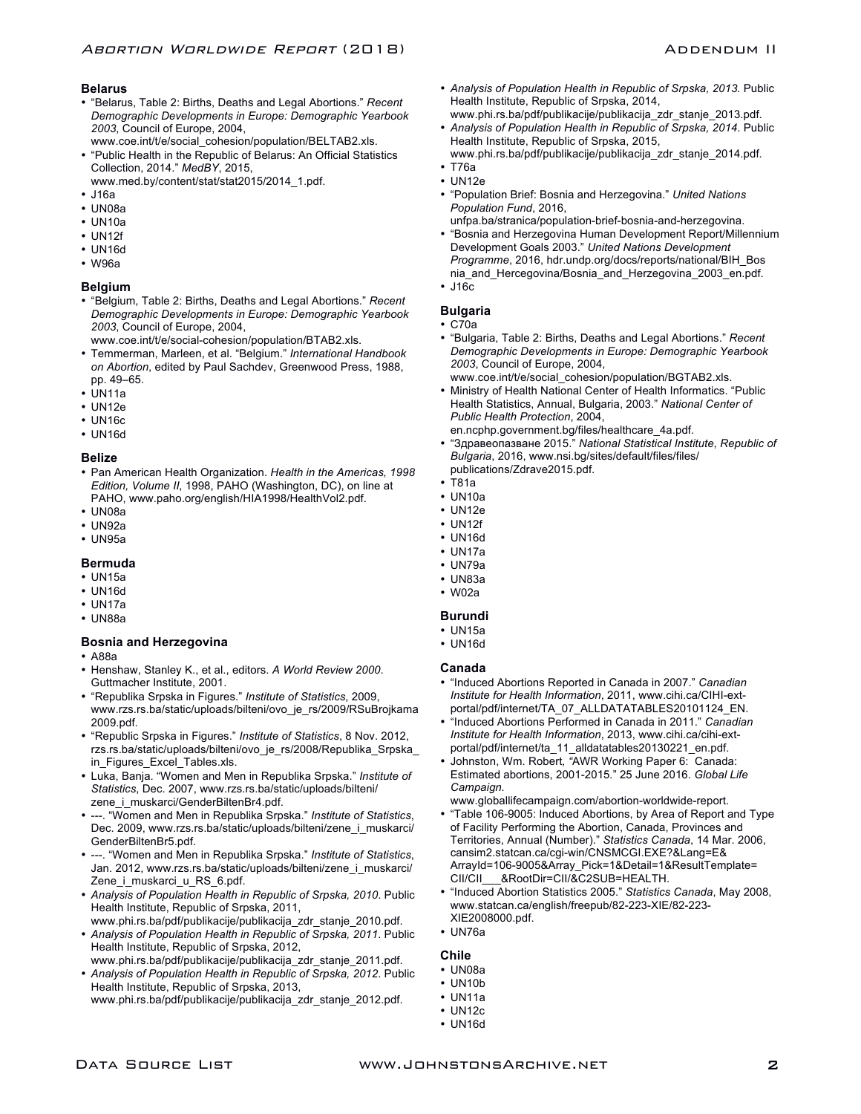#### **Belarus**

- "Belarus, Table 2: Births, Deaths and Legal Abortions." *Recent Demographic Developments in Europe: Demographic Yearbook 2003*, Council of Europe, 2004,
- www.coe.int/t/e/social\_cohesion/population/BELTAB2.xls. • "Public Health in the Republic of Belarus: An Official Statistics Collection, 2014." *MedBY*, 2015,
- www.med.by/content/stat/stat2015/2014\_1.pdf.
- J16a
- UN08a • UN10a
- 
- UN12f • UN16d
- W96a
- 

#### **Belgium**

- "Belgium, Table 2: Births, Deaths and Legal Abortions." *Recent Demographic Developments in Europe: Demographic Yearbook 2003*, Council of Europe, 2004,
- www.coe.int/t/e/social-cohesion/population/BTAB2.xls.
- Temmerman, Marleen, et al. "Belgium." *International Handbook on Abortion*, edited by Paul Sachdev, Greenwood Press, 1988, pp. 49–65.
- UN11a
- UN12e
- UN16c
- UN16d
- 

# **Belize**

- Pan American Health Organization. *Health in the Americas, 1998 Edition, Volume II*, 1998, PAHO (Washington, DC), on line at PAHO, www.paho.org/english/HIA1998/HealthVol2.pdf.
- UN08a
- UN92a
- UN95a

#### **Bermuda**

- UN15a
- UN16d
- UN17a
- UN88a

#### **Bosnia and Herzegovina**

- A88a
- Henshaw, Stanley K., et al., editors. *A World Review 2000*. Guttmacher Institute, 2001.
- "Republika Srpska in Figures." *Institute of Statistics*, 2009, www.rzs.rs.ba/static/uploads/bilteni/ovo\_je\_rs/2009/RSuBrojkama 2009.pdf.
- "Republic Srpska in Figures." *Institute of Statistics*, 8 Nov. 2012, rzs.rs.ba/static/uploads/bilteni/ovo\_je\_rs/2008/Republika\_Srpska\_ in Figures Excel Tables.xls.
- Luka, Banja. "Women and Men in Republika Srpska." *Institute of Statistics*, Dec. 2007, www.rzs.rs.ba/static/uploads/bilteni/ zene\_i\_muskarci/GenderBiltenBr4.pdf.
- ---. "Women and Men in Republika Srpska." *Institute of Statistics*, Dec. 2009, www.rzs.rs.ba/static/uploads/bilteni/zene\_i\_muskarci/ GenderBiltenBr5.pdf.
- ---. "Women and Men in Republika Srpska." *Institute of Statistics*, Jan. 2012, www.rzs.rs.ba/static/uploads/bilteni/zene\_i\_muskarci/ Zene\_i\_muskarci\_u\_RS\_6.pdf.
- *Analysis of Population Health in Republic of Srpska, 2010*. Public Health Institute, Republic of Srpska, 2011, www.phi.rs.ba/pdf/publikacije/publikacija\_zdr\_stanje\_2010.pdf.
- *Analysis of Population Health in Republic of Srpska, 2011*. Public Health Institute, Republic of Srpska, 2012,
- www.phi.rs.ba/pdf/publikacije/publikacija\_zdr\_stanje\_2011.pdf. • *Analysis of Population Health in Republic of Srpska, 2012*. Public Health Institute, Republic of Srpska, 2013,
- www.phi.rs.ba/pdf/publikacije/publikacija\_zdr\_stanje\_2012.pdf.
- Analysis of Population Health in Republic of Srpska, 2013. Public Health Institute, Republic of Srpska, 2014,
- www.phi.rs.ba/pdf/publikacije/publikacija\_zdr\_stanje\_2013.pdf. • *Analysis of Population Health in Republic of Srpska, 2014*. Public Health Institute, Republic of Srpska, 2015,
- www.phi.rs.ba/pdf/publikacije/publikacija\_zdr\_stanje\_2014.pdf. • T76a
- UN12e
- "Population Brief: Bosnia and Herzegovina." *United Nations Population Fund*, 2016,
	- unfpa.ba/stranica/population-brief-bosnia-and-herzegovina.
- "Bosnia and Herzegovina Human Development Report/Millennium Development Goals 2003." *United Nations Development Programme*, 2016, hdr.undp.org/docs/reports/national/BIH\_Bos nia\_and\_Hercegovina/Bosnia\_and\_Herzegovina\_2003\_en.pdf.

• J16c

# **Bulgaria**

- C70a
- "Bulgaria, Table 2: Births, Deaths and Legal Abortions." *Recent Demographic Developments in Europe: Demographic Yearbook 2003*, Council of Europe, 2004,
- www.coe.int/t/e/social\_cohesion/population/BGTAB2.xls.
- Ministry of Health National Center of Health Informatics. "Public Health Statistics, Annual, Bulgaria, 2003." *National Center of Public Health Protection*, 2004, en.ncphp.government.bg/files/healthcare\_4a.pdf.
- "Здравеопазване 2015." *National Statistical Institute*, *Republic of Bulgaria*, 2016, www.nsi.bg/sites/default/files/files/ publications/Zdrave2015.pdf.
- T81a
- UN10a
- UN12e
- UN12f
- 
- UN16d
- UN17a • UN79a
- UN83a
- W02a

# **Burundi**

- UN15a
- UN16d

#### **Canada**

- "Induced Abortions Reported in Canada in 2007." *Canadian Institute for Health Information*, 2011, www.cihi.ca/CIHI-extportal/pdf/internet/TA\_07\_ALLDATATABLES20101124\_EN.
- "Induced Abortions Performed in Canada in 2011." *Canadian Institute for Health Information*, 2013, www.cihi.ca/cihi-extportal/pdf/internet/ta\_11\_alldatatables20130221\_en.pdf.
- Johnston, Wm. Robert*, "*AWR Working Paper 6: Canada: Estimated abortions, 2001-2015*.*" 25 June 2016. *Global Life Campaign.*

www.globallifecampaign.com/abortion-worldwide-report.

- "Table 106-9005: Induced Abortions, by Area of Report and Type of Facility Performing the Abortion, Canada, Provinces and Territories, Annual (Number)." *Statistics Canada*, 14 Mar. 2006, cansim2.statcan.ca/cgi-win/CNSMCGI.EXE?&Lang=E& ArrayId=106-9005&Array\_Pick=1&Detail=1&ResultTemplate= CII/CII\_\_\_&RootDir=CII/&C2SUB=HEALTH.
- "Induced Abortion Statistics 2005." *Statistics Canada*, May 2008, www.statcan.ca/english/freepub/82-223-XIE/82-223- XIE2008000.pdf.
- UN76a

#### **Chile**

- UN08a
- UN10b
- UN11a
- UN12c
- UN16d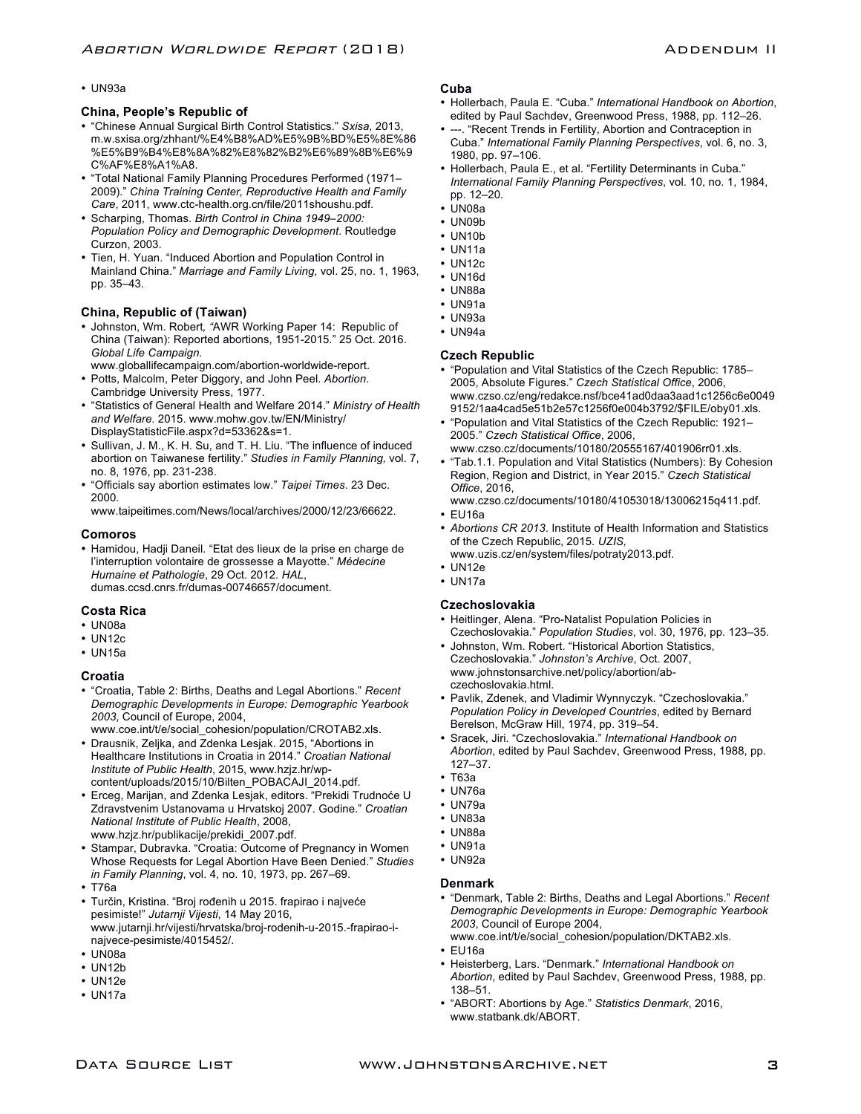#### • UN93a

#### **China, People's Republic of**

- "Chinese Annual Surgical Birth Control Statistics." *Sxisa*, 2013, m.w.sxisa.org/zhhant/%E4%B8%AD%E5%9B%BD%E5%8E%86 %E5%B9%B4%E8%8A%82%E8%82%B2%E6%89%8B%E6%9 C%AF%E8%A1%A8.
- "Total National Family Planning Procedures Performed (1971– 2009)." *China Training Center, Reproductive Health and Family Care*, 2011, www.ctc-health.org.cn/file/2011shoushu.pdf.
- Scharping, Thomas. *Birth Control in China 1949–2000: Population Policy and Demographic Development*. Routledge Curzon, 2003.
- Tien, H. Yuan. "Induced Abortion and Population Control in Mainland China." *Marriage and Family Living*, vol. 25, no. 1, 1963, pp. 35–43.

#### **China, Republic of (Taiwan)**

- Johnston, Wm. Robert*, "*AWR Working Paper 14: Republic of China (Taiwan): Reported abortions, 1951-2015*.*" 25 Oct. 2016. *Global Life Campaign.*
- www.globallifecampaign.com/abortion-worldwide-report. • Potts, Malcolm, Peter Diggory, and John Peel. *Abortion*.
- Cambridge University Press, 1977.
- "Statistics of General Health and Welfare 2014." *Ministry of Health and Welfare*. 2015. www.mohw.gov.tw/EN/Ministry/ DisplayStatisticFile.aspx?d=53362&s=1.
- Sullivan, J. M., K. H. Su, and T. H. Liu. "The influence of induced abortion on Taiwanese fertility." *Studies in Family Planning,* vol. 7, no. 8, 1976, pp. 231-238.
- "Officials say abortion estimates low." *Taipei Times*. 23 Dec. 2000.

www.taipeitimes.com/News/local/archives/2000/12/23/66622.

#### **Comoros**

• Hamidou, Hadji Daneil. "Etat des lieux de la prise en charge de l'interruption volontaire de grossesse a Mayotte." *Médecine Humaine et Pathologie*, 29 Oct. 2012. *HAL*, dumas.ccsd.cnrs.fr/dumas-00746657/document.

### **Costa Rica**

- UN08a
- UN12c
- UN15a

#### **Croatia**

- "Croatia, Table 2: Births, Deaths and Legal Abortions." *Recent Demographic Developments in Europe: Demographic Yearbook 2003*, Council of Europe, 2004,
- www.coe.int/t/e/social\_cohesion/population/CROTAB2.xls. • Drausnik, Zeljka, and Zdenka Lesjak. 2015, "Abortions in Healthcare Institutions in Croatia in 2014." *Croatian National Institute of Public Health*, 2015, www.hzjz.hr/wpcontent/uploads/2015/10/Bilten\_POBACAJI\_2014.pdf.
- Erceg, Marijan, and Zdenka Lesjak, editors. "Prekidi Trudnoće U Zdravstvenim Ustanovama u Hrvatskoj 2007. Godine." *Croatian National Institute of Public Health*, 2008, www.hzjz.hr/publikacije/prekidi\_2007.pdf.
- Stampar, Dubravka. "Croatia: Outcome of Pregnancy in Women Whose Requests for Legal Abortion Have Been Denied." *Studies in Family Planning*, vol. 4, no. 10, 1973, pp. 267–69.
- T76a
- Turčin, Kristina. "Broj rođenih u 2015. frapirao i najveće pesimiste!" *Jutarnji Vijesti*, 14 May 2016, www.jutarnji.hr/vijesti/hrvatska/broj-rodenih-u-2015.-frapirao-inajvece-pesimiste/4015452/.
- UN08a
- UN12b
- UN12e
- UN17a

#### **Cuba**

- Hollerbach, Paula E. "Cuba." *International Handbook on Abortion*, edited by Paul Sachdev, Greenwood Press, 1988, pp. 112–26.
- ---. "Recent Trends in Fertility, Abortion and Contraception in Cuba." *International Family Planning Perspectives*, vol. 6, no. 3, 1980, pp. 97–106.
- Hollerbach, Paula E., et al. "Fertility Determinants in Cuba." *International Family Planning Perspectives*, vol. 10, no. 1, 1984, pp. 12–20.
- UN08a
- UN09b
- UN10b
- UN11a
- UN12c
- UN16d
- UN88a
- UN91a
- UN93a
- UN94a

#### **Czech Republic**

- "Population and Vital Statistics of the Czech Republic: 1785– 2005, Absolute Figures." *Czech Statistical Office*, 2006, www.czso.cz/eng/redakce.nsf/bce41ad0daa3aad1c1256c6e0049 9152/1aa4cad5e51b2e57c1256f0e004b3792/\$FILE/oby01.xls.
- "Population and Vital Statistics of the Czech Republic: 1921– 2005." *Czech Statistical Office*, 2006, www.czso.cz/documents/10180/20555167/401906rr01.xls.
- "Tab.1.1. Population and Vital Statistics (Numbers): By Cohesion Region, Region and District, in Year 2015." *Czech Statistical Office*, 2016,

www.czso.cz/documents/10180/41053018/13006215q411.pdf.

- EU16a
- *Abortions CR 2013*. Institute of Health Information and Statistics of the Czech Republic, 2015. *UZIS,*
- www.uzis.cz/en/system/files/potraty2013.pdf.
- UN12e
- UN17a

# **Czechoslovakia**

- Heitlinger, Alena. "Pro-Natalist Population Policies in Czechoslovakia." *Population Studies*, vol. 30, 1976, pp. 123–35.
- Johnston, Wm. Robert. "Historical Abortion Statistics, Czechoslovakia." *Johnston's Archive*, Oct. 2007, www.johnstonsarchive.net/policy/abortion/abczechoslovakia.html.
- Pavlik, Zdenek, and Vladimir Wynnyczyk. "Czechoslovakia." *Population Policy in Developed Countries*, edited by Bernard Berelson, McGraw Hill, 1974, pp. 319–54.
- Sracek, Jiri. "Czechoslovakia." *International Handbook on Abortion*, edited by Paul Sachdev, Greenwood Press, 1988, pp. 127–37.
- T63a
- UN76a
- UN79a
- UN83a
- UN88a
- UN91a
- UN92a

#### **Denmark**

- "Denmark, Table 2: Births, Deaths and Legal Abortions." *Recent Demographic Developments in Europe: Demographic Yearbook 2003*, Council of Europe 2004, www.coe.int/t/e/social\_cohesion/population/DKTAB2.xls.
- EU16a
- Heisterberg, Lars. "Denmark." *International Handbook on Abortion*, edited by Paul Sachdev, Greenwood Press, 1988, pp. 138–51.
- "ABORT: Abortions by Age." *Statistics Denmark*, 2016, www.statbank.dk/ABORT.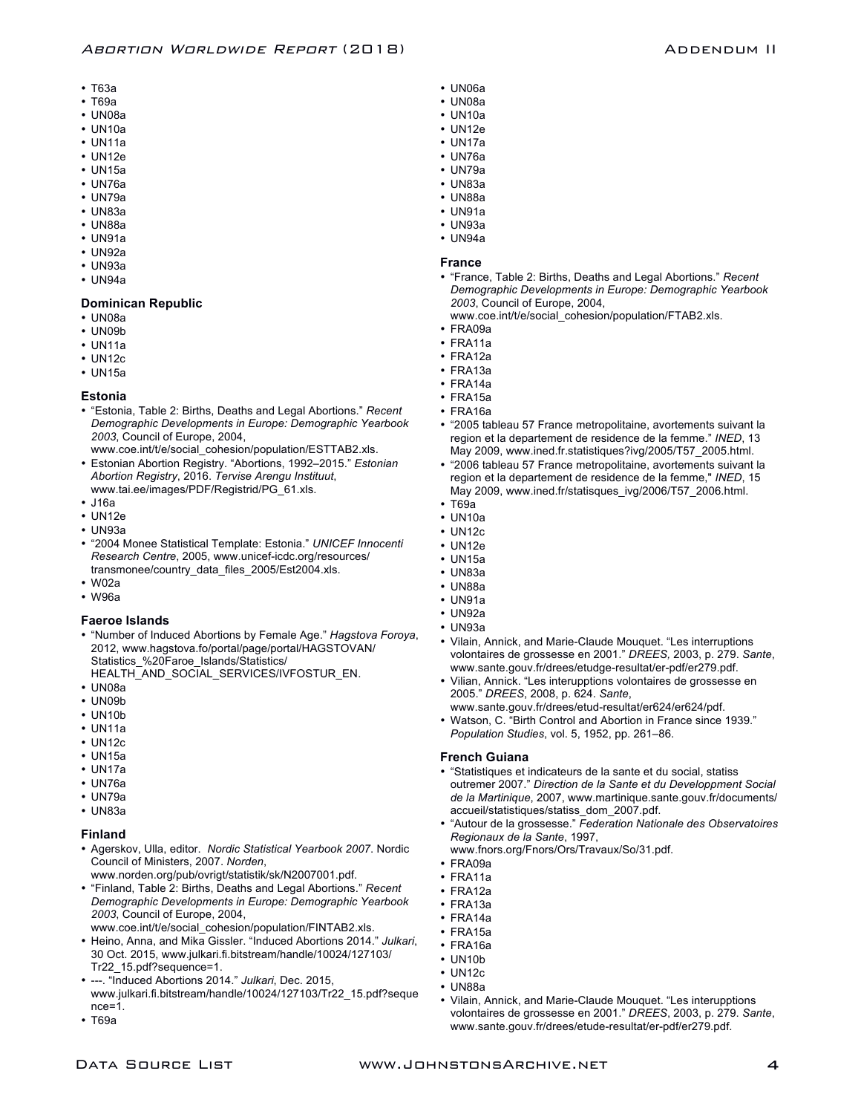- T63a
- T69a
- UN08a
- UN10a
- UN11a
- UN12e
- UN15a
- UN76a
- UN79a
- UN83a
- UN88a
- UN91a
- UN92a
- UN93a
- UN94a

#### **Dominican Republic**

- UN08a
- UN09b
- UN11a
- UN12c
- UN15a

#### **Estonia**

- "Estonia, Table 2: Births, Deaths and Legal Abortions." *Recent Demographic Developments in Europe: Demographic Yearbook 2003*, Council of Europe, 2004,
- www.coe.int/t/e/social\_cohesion/population/ESTTAB2.xls. • Estonian Abortion Registry. "Abortions, 1992–2015." *Estonian Abortion Registry*, 2016. *Tervise Arengu Instituut*,
- www.tai.ee/images/PDF/Registrid/PG\_61.xls.
- J16a
- UN12e
- UN93a
- "2004 Monee Statistical Template: Estonia." *UNICEF Innocenti Research Centre*, 2005, www.unicef-icdc.org/resources/ transmonee/country\_data\_files\_2005/Est2004.xls.
- W02a
- W96a

#### **Faeroe Islands**

- "Number of Induced Abortions by Female Age." *Hagstova Foroya*, 2012, www.hagstova.fo/portal/page/portal/HAGSTOVAN/ Statistics %20Faroe\_Islands/Statistics/
- HEALTH\_AND\_SOCIAL\_SERVICES/IVFOSTUR\_EN.
- UN08a
- UN09b
- UN10b
- UN11a
- UN12c
- UN15a
- UN17a
- UN76a
- UN79a
- UN83a

#### **Finland**

- Agerskov, Ulla, editor. *Nordic Statistical Yearbook 2007*. Nordic Council of Ministers, 2007. *Norden*,
- www.norden.org/pub/ovrigt/statistik/sk/N2007001.pdf.
- "Finland, Table 2: Births, Deaths and Legal Abortions." *Recent Demographic Developments in Europe: Demographic Yearbook 2003*, Council of Europe, 2004,
- www.coe.int/t/e/social\_cohesion/population/FINTAB2.xls.
- Heino, Anna, and Mika Gissler. "Induced Abortions 2014." *Julkari*, 30 Oct. 2015, www.julkari.fi.bitstream/handle/10024/127103/ Tr22\_15.pdf?sequence=1.
- ---. "Induced Abortions 2014." *Julkari*, Dec. 2015, www.julkari.fi.bitstream/handle/10024/127103/Tr22\_15.pdf?seque nce=1.

Data Source List www.JohnstonsArchive.net

• T69a

- UN06a • UN08a
- UN10a
- UN12e
- UN17a
- UN76a
- UN79a
- UN83a
- UN88a
- UN91a
- UN93a
- UN94a

#### **France**

- "France, Table 2: Births, Deaths and Legal Abortions." *Recent Demographic Developments in Europe: Demographic Yearbook 2003*, Council of Europe, 2004,
	- www.coe.int/t/e/social\_cohesion/population/FTAB2.xls.
- FRA09a
- FRA11a
- FRA12a
- FRA13a
- FRA14a
- FRA15a
- FRA16a
- "2005 tableau 57 France metropolitaine, avortements suivant la region et la departement de residence de la femme." *INED*, 13 May 2009, www.ined.fr.statistiques?ivg/2005/T57\_2005.html.
- "2006 tableau 57 France metropolitaine, avortements suivant la region et la departement de residence de la femme," *INED*, 15 May 2009, www.ined.fr/statisques\_ivg/2006/T57\_2006.html.
- T69a
- UN10a
- UN12c
- UN12e
- UN15a
- UN83a
- UN88a
- UN91a
- UN92a
- UN93a
- Vilain, Annick, and Marie-Claude Mouquet. "Les interruptions volontaires de grossesse en 2001." *DREES,* 2003, p. 279. *Sante*, www.sante.gouv.fr/drees/etudge-resultat/er-pdf/er279.pdf.
- Vilian, Annick. "Les interupptions volontaires de grossesse en 2005." *DREES*, 2008, p. 624. *Sante*,
	- www.sante.gouv.fr/drees/etud-resultat/er624/er624/pdf.
- Watson, C. "Birth Control and Abortion in France since 1939." *Population Studies*, vol. 5, 1952, pp. 261–86.

#### **French Guiana**

- "Statistiques et indicateurs de la sante et du social, statiss outremer 2007." *Direction de la Sante et du Developpment Social de la Martinique*, 2007, www.martinique.sante.gouv.fr/documents/ accueil/statistiques/statiss\_dom\_2007.pdf.
- "Autour de la grossesse." *Federation Nationale des Observatoires Regionaux de la Sante*, 1997, www.fnors.org/Fnors/Ors/Travaux/So/31.pdf.

• Vilain, Annick, and Marie-Claude Mouquet. "Les interupptions volontaires de grossesse en 2001." *DREES*, 2003, p. 279. *Sante*, www.sante.gouv.fr/drees/etude-resultat/er-pdf/er279.pdf.

4

- 
- FRA09a
- FRA11a
- FRA12a
- FRA13a
- FRA14a
- FRA15a • FRA16a • UN10b

• UN12c • UN88a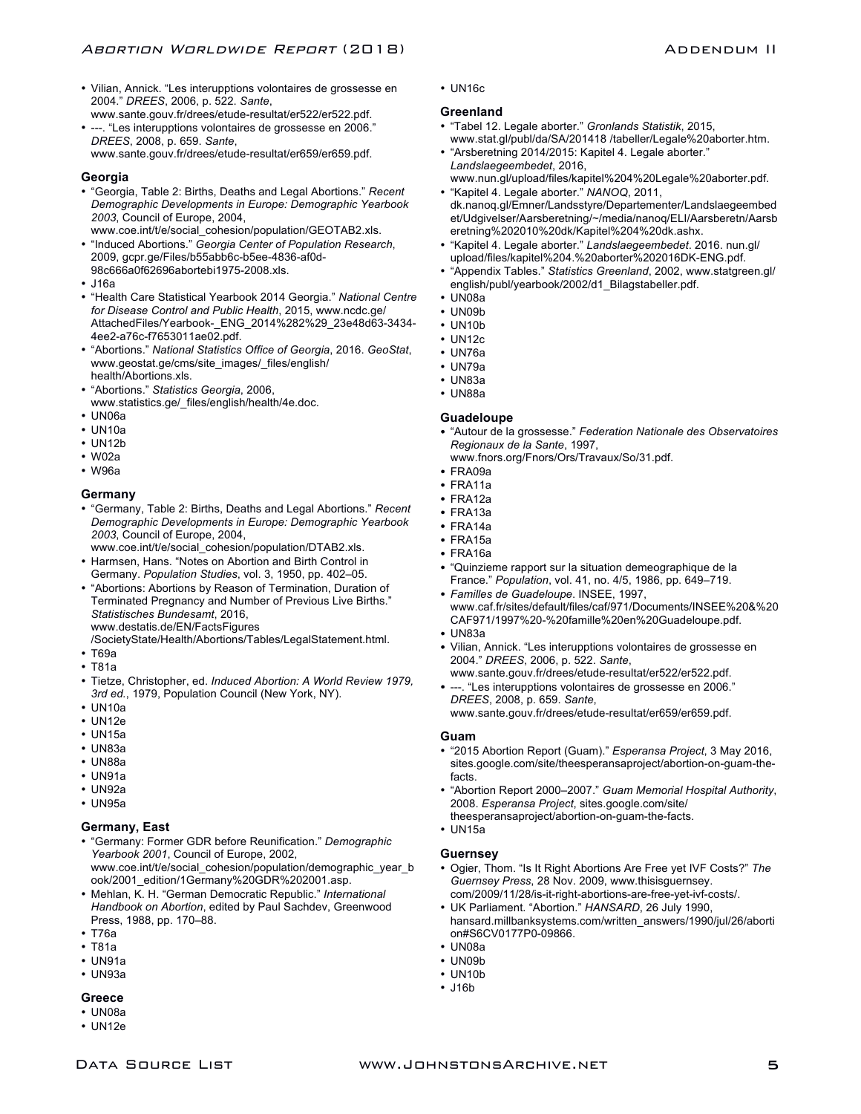- Vilian, Annick. "Les interupptions volontaires de grossesse en 2004." *DREES*, 2006, p. 522. *Sante*,
- www.sante.gouv.fr/drees/etude-resultat/er522/er522.pdf. • ---. "Les interupptions volontaires de grossesse en 2006." *DREES*, 2008, p. 659. *Sante*,
- www.sante.gouv.fr/drees/etude-resultat/er659/er659.pdf.

# **Georgia**

- "Georgia, Table 2: Births, Deaths and Legal Abortions." *Recent Demographic Developments in Europe: Demographic Yearbook 2003*, Council of Europe, 2004, www.coe.int/t/e/social\_cohesion/population/GEOTAB2.xls.
- "Induced Abortions." *Georgia Center of Population Research*, 2009, gcpr.ge/Files/b55abb6c-b5ee-4836-af0d-98c666a0f62696abortebi1975-2008.xls.
- J16a
- "Health Care Statistical Yearbook 2014 Georgia." *National Centre for Disease Control and Public Health*, 2015, www.ncdc.ge/ AttachedFiles/Yearbook-\_ENG\_2014%282%29\_23e48d63-3434- 4ee2-a76c-f7653011ae02.pdf.
- "Abortions." *National Statistics Office of Georgia*, 2016. *GeoStat*, www.geostat.ge/cms/site\_images/\_files/english/ health/Abortions.xls.
- "Abortions." *Statistics Georgia*, 2006,
- www.statistics.ge/\_files/english/health/4e.doc.
- UN06a
- UN10a
- UN12b
- W02a
- W96a

# **Germany**

- "Germany, Table 2: Births, Deaths and Legal Abortions." *Recent Demographic Developments in Europe: Demographic Yearbook 2003*, Council of Europe, 2004,
- www.coe.int/t/e/social\_cohesion/population/DTAB2.xls. • Harmsen, Hans. "Notes on Abortion and Birth Control in Germany. *Population Studies*, vol. 3, 1950, pp. 402–05.
- "Abortions: Abortions by Reason of Termination, Duration of Terminated Pregnancy and Number of Previous Live Births." *Statistisches Bundesamt*, 2016, www.destatis.de/EN/FactsFigures
- /SocietyState/Health/Abortions/Tables/LegalStatement.html.
- T69a
- T81a
- Tietze, Christopher, ed. *Induced Abortion: A World Review 1979, 3rd ed.*, 1979, Population Council (New York, NY).
- UN10a
- UN12e
- UN15a
- UN83a
- UN88a
- UN91a
- UN92a
- UN95a

# **Germany, East**

- "Germany: Former GDR before Reunification." *Demographic Yearbook 2001*, Council of Europe, 2002, www.coe.int/t/e/social\_cohesion/population/demographic\_year\_b ook/2001\_edition/1Germany%20GDR%202001.asp.
- Mehlan, K. H. "German Democratic Republic." *International Handbook on Abortion*, edited by Paul Sachdev, Greenwood Press, 1988, pp. 170–88.
- T76a
- T81a
- UN91a
- UN93a

# **Greece**

- UN08a
- UN12e

• UN16c

# **Greenland**

- "Tabel 12. Legale aborter." *Gronlands Statistik*, 2015, www.stat.gl/publ/da/SA/201418 /tabeller/Legale%20aborter.htm.
- "Arsberetning 2014/2015: Kapitel 4. Legale aborter." *Landslaegeembedet*, 2016, www.nun.gl/upload/files/kapitel%204%20Legale%20aborter.pdf.
- "Kapitel 4. Legale aborter." *NANOQ*, 2011, dk.nanoq.gl/Emner/Landsstyre/Departementer/Landslaegeembed et/Udgivelser/Aarsberetning/~/media/nanoq/ELI/Aarsberetn/Aarsb eretning%202010%20dk/Kapitel%204%20dk.ashx.
- "Kapitel 4. Legale aborter." *Landslaegeembedet*. 2016. nun.gl/ upload/files/kapitel%204.%20aborter%202016DK-ENG.pdf.
- "Appendix Tables." *Statistics Greenland*, 2002, www.statgreen.gl/ english/publ/yearbook/2002/d1\_Bilagstabeller.pdf.
- UN08a
- UN09b
- UN10b
- UN12c
- UN76a
- UN79a
- UN83a
- UN88a

# **Guadeloupe**

- "Autour de la grossesse." *Federation Nationale des Observatoires Regionaux de la Sante*, 1997,
	- www.fnors.org/Fnors/Ors/Travaux/So/31.pdf.
- FRA09a
- FRA11a
- FRA12a
- FRA13a
- FRA14a
- FRA15a
- FRA16a
- "Quinzieme rapport sur la situation demeographique de la France." *Population*, vol. 41, no. 4/5, 1986, pp. 649–719.
- *Familles de Guadeloupe*. INSEE, 1997, www.caf.fr/sites/default/files/caf/971/Documents/INSEE%20&%20 CAF971/1997%20-%20famille%20en%20Guadeloupe.pdf.
- UN83a
- Vilian, Annick. "Les interupptions volontaires de grossesse en 2004." *DREES*, 2006, p. 522. *Sante*,
- www.sante.gouv.fr/drees/etude-resultat/er522/er522.pdf. • ---. "Les interupptions volontaires de grossesse en 2006." *DREES*, 2008, p. 659. *Sante*,

www.sante.gouv.fr/drees/etude-resultat/er659/er659.pdf.

# **Guam**

- "2015 Abortion Report (Guam)." *Esperansa Project*, 3 May 2016, sites.google.com/site/theesperansaproject/abortion-on-guam-thefacts.
- "Abortion Report 2000–2007." *Guam Memorial Hospital Authority*, 2008. *Esperansa Project*, sites.google.com/site/ theesperansaproject/abortion-on-guam-the-facts.
- UN15a

# **Guernsey**

- Ogier, Thom. "Is It Right Abortions Are Free yet IVF Costs?" *The Guernsey Press*, 28 Nov. 2009, www.thisisguernsey. com/2009/11/28/is-it-right-abortions-are-free-yet-ivf-costs/.
- UK Parliament. "Abortion." *HANSARD*, 26 July 1990, hansard.millbanksystems.com/written\_answers/1990/jul/26/aborti
- on#S6CV0177P0-09866.
- UN08a
- UN09b
- UN10b
- J16b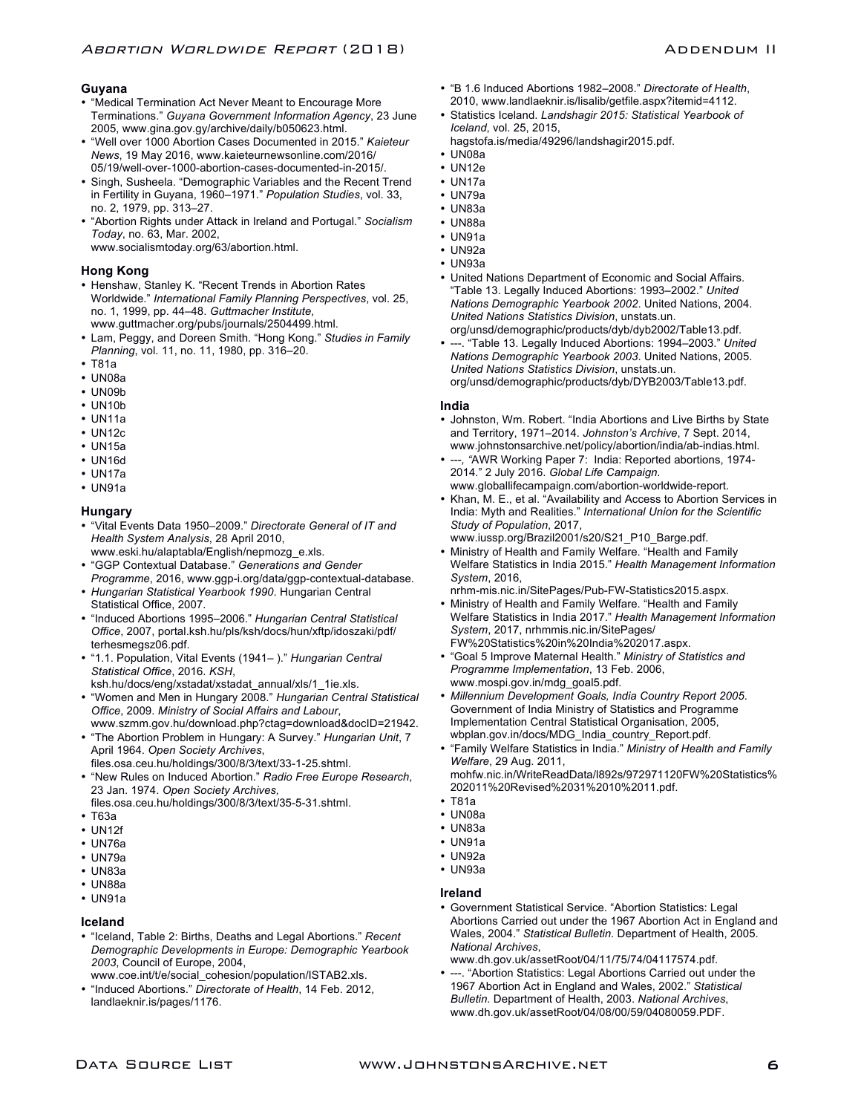# **Guyana**

- "Medical Termination Act Never Meant to Encourage More Terminations." *Guyana Government Information Agency*, 23 June 2005, www.gina.gov.gy/archive/daily/b050623.html.
- "Well over 1000 Abortion Cases Documented in 2015." *Kaieteur News*, 19 May 2016, www.kaieteurnewsonline.com/2016/ 05/19/well-over-1000-abortion-cases-documented-in-2015/.
- Singh, Susheela. "Demographic Variables and the Recent Trend in Fertility in Guyana, 1960–1971." *Population Studies*, vol. 33, no. 2, 1979, pp. 313–27.
- "Abortion Rights under Attack in Ireland and Portugal." *Socialism Today*, no. 63, Mar. 2002,

www.socialismtoday.org/63/abortion.html.

# **Hong Kong**

- Henshaw, Stanley K. "Recent Trends in Abortion Rates Worldwide." *International Family Planning Perspectives*, vol. 25, no. 1, 1999, pp. 44–48. *Guttmacher Institute*, www.guttmacher.org/pubs/journals/2504499.html.
- Lam, Peggy, and Doreen Smith. "Hong Kong." *Studies in Family Planning*, vol. 11, no. 11, 1980, pp. 316–20.
- T81a
- UN08a
- UN09b
- UN10b
- UN11a
- UN12c
- UN15a
- UN16d
- UN17a
- UN91a

#### **Hungary**

- "Vital Events Data 1950–2009." *Directorate General of IT and Health System Analysis*, 28 April 2010,
- www.eski.hu/alaptabla/English/nepmozg\_e.xls. • "GGP Contextual Database." *Generations and Gender*
- *Programme*, 2016, www.ggp-i.org/data/ggp-contextual-database. • *Hungarian Statistical Yearbook 1990*. Hungarian Central Statistical Office, 2007.
- "Induced Abortions 1995–2006." *Hungarian Central Statistical Office*, 2007, portal.ksh.hu/pls/ksh/docs/hun/xftp/idoszaki/pdf/ terhesmegsz06.pdf.
- "1.1. Population, Vital Events (1941– )." *Hungarian Central Statistical Office*, 2016. *KSH*,
- ksh.hu/docs/eng/xstadat/xstadat\_annual/xls/1\_1ie.xls.
- "Women and Men in Hungary 2008." *Hungarian Central Statistical Office*, 2009. *Ministry of Social Affairs and Labour*, www.szmm.gov.hu/download.php?ctag=download&docID=21942.
- "The Abortion Problem in Hungary: A Survey." *Hungarian Unit*, 7 April 1964. *Open Society Archives*,
- files.osa.ceu.hu/holdings/300/8/3/text/33-1-25.shtml.
- "New Rules on Induced Abortion." *Radio Free Europe Research*, 23 Jan. 1974. *Open Society Archives,*  files.osa.ceu.hu/holdings/300/8/3/text/35-5-31.shtml.
- T63a
- UN12f
- UN76a
- UN79a
- UN83a
- UN88a
- UN91a

#### **Iceland**

- "Iceland, Table 2: Births, Deaths and Legal Abortions." *Recent Demographic Developments in Europe: Demographic Yearbook 2003*, Council of Europe, 2004,
- www.coe.int/t/e/social\_cohesion/population/ISTAB2.xls. • "Induced Abortions." *Directorate of Health*, 14 Feb. 2012, landlaeknir.is/pages/1176.
- "B 1.6 Induced Abortions 1982–2008." *Directorate of Health*, 2010, www.landlaeknir.is/lisalib/getfile.aspx?itemid=4112.
- Statistics Iceland. *Landshagir 2015: Statistical Yearbook of Iceland*, vol. 25, 2015,
- hagstofa.is/media/49296/landshagir2015.pdf.
- UN08a
- UN12e
- UN17a
- UN79a
- UN83a
- UN88a
- UN91a
- UN92a
- UN93a
- United Nations Department of Economic and Social Affairs. "Table 13. Legally Induced Abortions: 1993–2002." *United Nations Demographic Yearbook 2002*. United Nations, 2004. *United Nations Statistics Division*, unstats.un. org/unsd/demographic/products/dyb/dyb2002/Table13.pdf.
- ---. "Table 13. Legally Induced Abortions: 1994–2003." *United Nations Demographic Yearbook 2003*. United Nations, 2005. *United Nations Statistics Division*, unstats.un. org/unsd/demographic/products/dyb/DYB2003/Table13.pdf.

# **India**

- Johnston, Wm. Robert. "India Abortions and Live Births by State and Territory, 1971–2014. *Johnston's Archive*, 7 Sept. 2014, www.johnstonsarchive.net/policy/abortion/india/ab-indias.html.
- ---*, "*AWR Working Paper 7: India: Reported abortions, 1974- 2014*.*" 2 July 2016. *Global Life Campaign.* www.globallifecampaign.com/abortion-worldwide-report.
- Khan, M. E., et al. "Availability and Access to Abortion Services in India: Myth and Realities." *International Union for the Scientific Study of Population*, 2017,
- www.iussp.org/Brazil2001/s20/S21\_P10\_Barge.pdf. • Ministry of Health and Family Welfare. "Health and Family Welfare Statistics in India 2015." *Health Management Information System*, 2016,
- nrhm-mis.nic.in/SitePages/Pub-FW-Statistics2015.aspx.
- Ministry of Health and Family Welfare. "Health and Family Welfare Statistics in India 2017." *Health Management Information System*, 2017, nrhmmis.nic.in/SitePages/ FW%20Statistics%20in%20India%202017.aspx.
- "Goal 5 Improve Maternal Health." *Ministry of Statistics and Programme Implementation*, 13 Feb. 2006, www.mospi.gov.in/mdg\_goal5.pdf.
- *Millennium Development Goals, India Country Report 2005*. Government of India Ministry of Statistics and Programme Implementation Central Statistical Organisation, 2005, wbplan.gov.in/docs/MDG\_India\_country\_Report.pdf.
- "Family Welfare Statistics in India." *Ministry of Health and Family Welfare*, 29 Aug. 2011,

mohfw.nic.in/WriteReadData/l892s/972971120FW%20Statistics% 202011%20Revised%2031%2010%2011.pdf.

- T81a
- UN08a
- UN83a
- UN91a • UN92a
- UN93a
- 

#### **Ireland**

- Government Statistical Service. "Abortion Statistics: Legal Abortions Carried out under the 1967 Abortion Act in England and Wales, 2004." *Statistical Bulletin.* Department of Health, 2005. *National Archives*, www.dh.gov.uk/assetRoot/04/11/75/74/04117574.pdf.
- ---. "Abortion Statistics: Legal Abortions Carried out under the 1967 Abortion Act in England and Wales, 2002." *Statistical Bulletin.* Department of Health, 2003. *National Archives*, www.dh.gov.uk/assetRoot/04/08/00/59/04080059.PDF.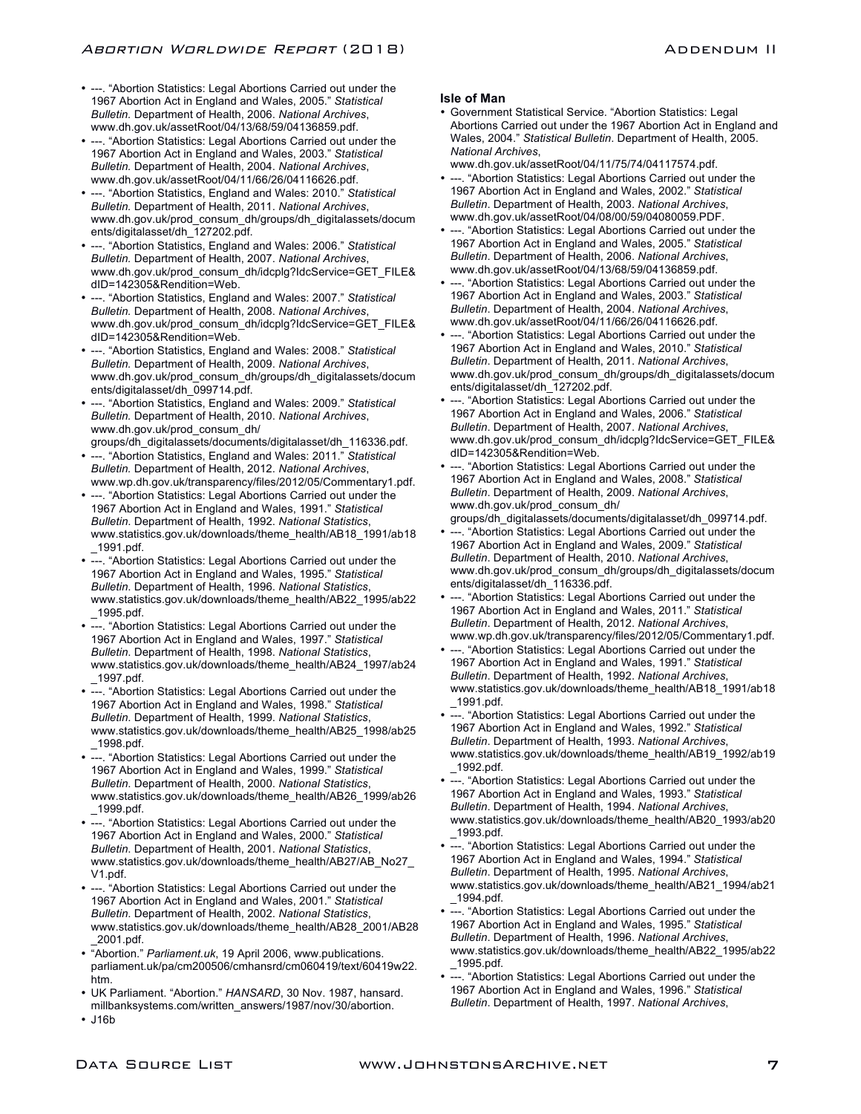- ---. "Abortion Statistics: Legal Abortions Carried out under the 1967 Abortion Act in England and Wales, 2005." *Statistical Bulletin.* Department of Health, 2006. *National Archives*, www.dh.gov.uk/assetRoot/04/13/68/59/04136859.pdf.
- ---. "Abortion Statistics: Legal Abortions Carried out under the 1967 Abortion Act in England and Wales, 2003." *Statistical Bulletin.* Department of Health, 2004. *National Archives*, www.dh.gov.uk/assetRoot/04/11/66/26/04116626.pdf.
- ---. "Abortion Statistics, England and Wales: 2010." *Statistical Bulletin.* Department of Health, 2011. *National Archives*, www.dh.gov.uk/prod\_consum\_dh/groups/dh\_digitalassets/docum ents/digitalasset/dh\_127202.pdf.
- ---. "Abortion Statistics, England and Wales: 2006." *Statistical Bulletin.* Department of Health, 2007. *National Archives*, www.dh.gov.uk/prod\_consum\_dh/idcplg?IdcService=GET\_FILE& dID=142305&Rendition=Web.
- ---. "Abortion Statistics, England and Wales: 2007." *Statistical Bulletin.* Department of Health, 2008. *National Archives*, www.dh.gov.uk/prod\_consum\_dh/idcplg?IdcService=GET\_FILE& dID=142305&Rendition=Web.
- ---. "Abortion Statistics, England and Wales: 2008." *Statistical Bulletin.* Department of Health, 2009. *National Archives*, www.dh.gov.uk/prod\_consum\_dh/groups/dh\_digitalassets/docum ents/digitalasset/dh\_099714.pdf.
- ---. "Abortion Statistics, England and Wales: 2009." *Statistical Bulletin.* Department of Health, 2010. *National Archives*, www.dh.gov.uk/prod\_consum\_dh/ groups/dh\_digitalassets/documents/digitalasset/dh\_116336.pdf.
- ---. "Abortion Statistics, England and Wales: 2011." *Statistical Bulletin.* Department of Health, 2012. *National Archives*, www.wp.dh.gov.uk/transparency/files/2012/05/Commentary1.pdf.
- ---. "Abortion Statistics: Legal Abortions Carried out under the 1967 Abortion Act in England and Wales, 1991." *Statistical Bulletin*. Department of Health, 1992. *National Statistics*, www.statistics.gov.uk/downloads/theme\_health/AB18\_1991/ab18 \_1991.pdf.
- ---. "Abortion Statistics: Legal Abortions Carried out under the 1967 Abortion Act in England and Wales, 1995." *Statistical Bulletin*. Department of Health, 1996. *National Statistics*, www.statistics.gov.uk/downloads/theme\_health/AB22\_1995/ab22 \_1995.pdf.
- ---. "Abortion Statistics: Legal Abortions Carried out under the 1967 Abortion Act in England and Wales, 1997." *Statistical Bulletin*. Department of Health, 1998. *National Statistics*, www.statistics.gov.uk/downloads/theme\_health/AB24\_1997/ab24 \_1997.pdf.
- ---. "Abortion Statistics: Legal Abortions Carried out under the 1967 Abortion Act in England and Wales, 1998." *Statistical Bulletin*. Department of Health, 1999. *National Statistics*, www.statistics.gov.uk/downloads/theme\_health/AB25\_1998/ab25 \_1998.pdf.
- ---. "Abortion Statistics: Legal Abortions Carried out under the 1967 Abortion Act in England and Wales, 1999." *Statistical Bulletin*. Department of Health, 2000. *National Statistics*, www.statistics.gov.uk/downloads/theme\_health/AB26\_1999/ab26 \_1999.pdf.
- ---. "Abortion Statistics: Legal Abortions Carried out under the 1967 Abortion Act in England and Wales, 2000." *Statistical Bulletin*. Department of Health, 2001. *National Statistics*, www.statistics.gov.uk/downloads/theme\_health/AB27/AB\_No27\_ V1.pdf.
- ---. "Abortion Statistics: Legal Abortions Carried out under the 1967 Abortion Act in England and Wales, 2001." *Statistical Bulletin*. Department of Health, 2002. *National Statistics*, www.statistics.gov.uk/downloads/theme\_health/AB28\_2001/AB28 \_2001.pdf.
- "Abortion." *Parliament.uk*, 19 April 2006, www.publications. parliament.uk/pa/cm200506/cmhansrd/cm060419/text/60419w22. htm.
- UK Parliament. "Abortion." *HANSARD*, 30 Nov. 1987, hansard. millbanksystems.com/written\_answers/1987/nov/30/abortion.
- J16b

# **Isle of Man**

- Government Statistical Service. "Abortion Statistics: Legal Abortions Carried out under the 1967 Abortion Act in England and Wales, 2004." *Statistical Bulletin*. Department of Health, 2005. *National Archives*,
	- www.dh.gov.uk/assetRoot/04/11/75/74/04117574.pdf.
- ---. "Abortion Statistics: Legal Abortions Carried out under the 1967 Abortion Act in England and Wales, 2002." *Statistical Bulletin*. Department of Health, 2003. *National Archives*, www.dh.gov.uk/assetRoot/04/08/00/59/04080059.PDF.
- ---. "Abortion Statistics: Legal Abortions Carried out under the 1967 Abortion Act in England and Wales, 2005." *Statistical Bulletin*. Department of Health, 2006. *National Archives*, www.dh.gov.uk/assetRoot/04/13/68/59/04136859.pdf.
- ---. "Abortion Statistics: Legal Abortions Carried out under the 1967 Abortion Act in England and Wales, 2003." *Statistical Bulletin*. Department of Health, 2004. *National Archives*, www.dh.gov.uk/assetRoot/04/11/66/26/04116626.pdf.
- ---. "Abortion Statistics: Legal Abortions Carried out under the 1967 Abortion Act in England and Wales, 2010." *Statistical Bulletin*. Department of Health, 2011. *National Archives*, www.dh.gov.uk/prod\_consum\_dh/groups/dh\_digitalassets/docum ents/digitalasset/dh\_127202.pdf.
- ---. "Abortion Statistics: Legal Abortions Carried out under the 1967 Abortion Act in England and Wales, 2006." *Statistical Bulletin*. Department of Health, 2007. *National Archives*, www.dh.gov.uk/prod\_consum\_dh/idcplg?IdcService=GET\_FILE& dID=142305&Rendition=Web.
- ---. "Abortion Statistics: Legal Abortions Carried out under the 1967 Abortion Act in England and Wales, 2008." *Statistical Bulletin*. Department of Health, 2009. *National Archives*, www.dh.gov.uk/prod\_consum\_dh/ groups/dh\_digitalassets/documents/digitalasset/dh\_099714.pdf.
- ---. "Abortion Statistics: Legal Abortions Carried out under the 1967 Abortion Act in England and Wales, 2009." *Statistical*
- *Bulletin*. Department of Health, 2010. *National Archives*, www.dh.gov.uk/prod\_consum\_dh/groups/dh\_digitalassets/docum ents/digitalasset/dh\_116336.pdf.
- ---. "Abortion Statistics: Legal Abortions Carried out under the 1967 Abortion Act in England and Wales, 2011." *Statistical Bulletin*. Department of Health, 2012. *National Archives*, www.wp.dh.gov.uk/transparency/files/2012/05/Commentary1.pdf.
- ---. "Abortion Statistics: Legal Abortions Carried out under the 1967 Abortion Act in England and Wales, 1991." *Statistical Bulletin*. Department of Health, 1992. *National Archives*, www.statistics.gov.uk/downloads/theme\_health/AB18\_1991/ab18 \_1991.pdf.
- ---. "Abortion Statistics: Legal Abortions Carried out under the 1967 Abortion Act in England and Wales, 1992." *Statistical Bulletin*. Department of Health, 1993. *National Archives*, www.statistics.gov.uk/downloads/theme\_health/AB19\_1992/ab19 \_1992.pdf.
- ---. "Abortion Statistics: Legal Abortions Carried out under the 1967 Abortion Act in England and Wales, 1993." *Statistical Bulletin*. Department of Health, 1994. *National Archives*, www.statistics.gov.uk/downloads/theme\_health/AB20\_1993/ab20 \_1993.pdf.
- ---. "Abortion Statistics: Legal Abortions Carried out under the 1967 Abortion Act in England and Wales, 1994." *Statistical Bulletin*. Department of Health, 1995. *National Archives*, www.statistics.gov.uk/downloads/theme\_health/AB21\_1994/ab21 \_1994.pdf.
- ---. "Abortion Statistics: Legal Abortions Carried out under the 1967 Abortion Act in England and Wales, 1995." *Statistical Bulletin*. Department of Health, 1996. *National Archives*, www.statistics.gov.uk/downloads/theme\_health/AB22\_1995/ab22 \_1995.pdf.
- ---. "Abortion Statistics: Legal Abortions Carried out under the 1967 Abortion Act in England and Wales, 1996." *Statistical Bulletin*. Department of Health, 1997. *National Archives*,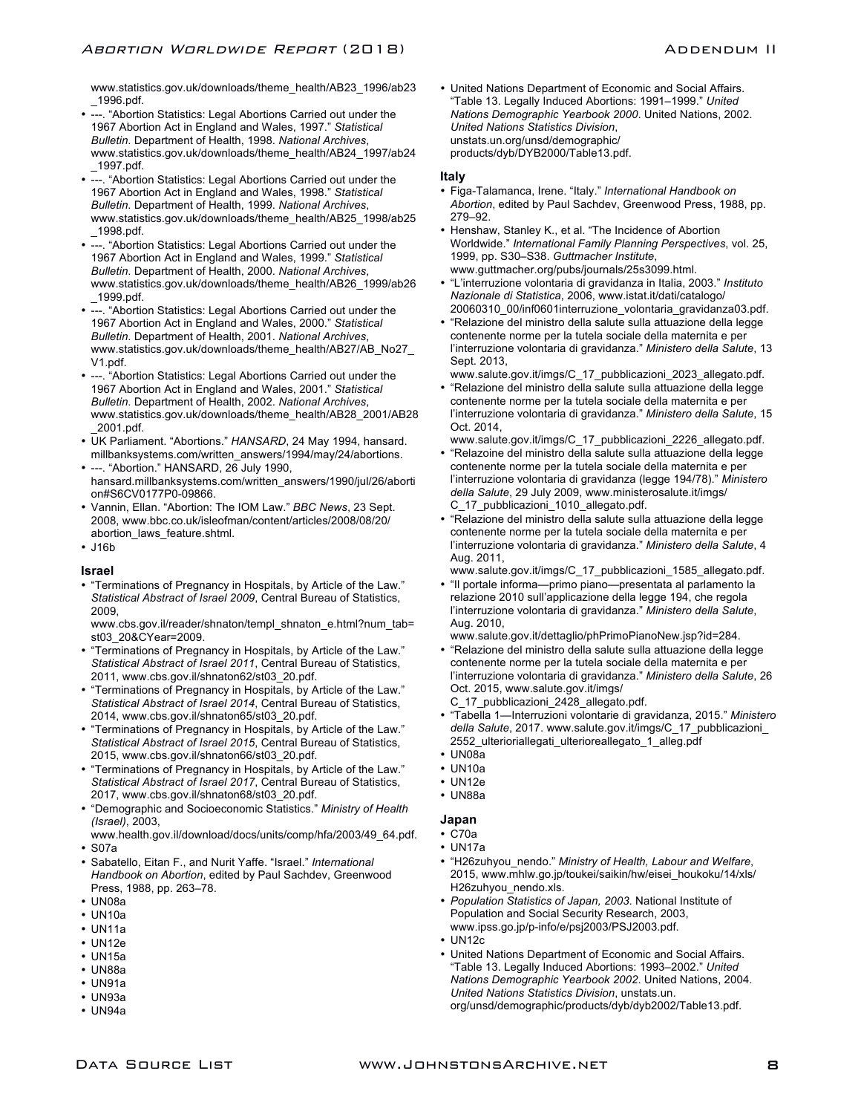www.statistics.gov.uk/downloads/theme\_health/AB23\_1996/ab23 \_1996.pdf.

- ---. "Abortion Statistics: Legal Abortions Carried out under the 1967 Abortion Act in England and Wales, 1997." *Statistical Bulletin*. Department of Health, 1998. *National Archives*, www.statistics.gov.uk/downloads/theme\_health/AB24\_1997/ab24 \_1997.pdf.
- ---. "Abortion Statistics: Legal Abortions Carried out under the 1967 Abortion Act in England and Wales, 1998." *Statistical Bulletin*. Department of Health, 1999. *National Archives*, www.statistics.gov.uk/downloads/theme\_health/AB25\_1998/ab25 \_1998.pdf.
- ---. "Abortion Statistics: Legal Abortions Carried out under the 1967 Abortion Act in England and Wales, 1999." *Statistical Bulletin*. Department of Health, 2000. *National Archives*, www.statistics.gov.uk/downloads/theme\_health/AB26\_1999/ab26 \_1999.pdf.
- ---. "Abortion Statistics: Legal Abortions Carried out under the 1967 Abortion Act in England and Wales, 2000." *Statistical Bulletin*. Department of Health, 2001. *National Archives*, www.statistics.gov.uk/downloads/theme\_health/AB27/AB\_No27\_ V1.pdf.
- ---. "Abortion Statistics: Legal Abortions Carried out under the 1967 Abortion Act in England and Wales, 2001." *Statistical Bulletin*. Department of Health, 2002. *National Archives*, www.statistics.gov.uk/downloads/theme\_health/AB28\_2001/AB28 \_2001.pdf.
- UK Parliament. "Abortions." *HANSARD*, 24 May 1994, hansard. millbanksystems.com/written\_answers/1994/may/24/abortions. • ---. "Abortion." HANSARD, 26 July 1990,
- hansard.millbanksystems.com/written\_answers/1990/jul/26/aborti on#S6CV0177P0-09866.
- Vannin, Ellan. "Abortion: The IOM Law." *BBC News*, 23 Sept. 2008, www.bbc.co.uk/isleofman/content/articles/2008/08/20/ abortion\_laws\_feature.shtml.
- J16b

#### **Israel**

• "Terminations of Pregnancy in Hospitals, by Article of the Law." *Statistical Abstract of Israel 2009*, Central Bureau of Statistics, 2009,

www.cbs.gov.il/reader/shnaton/templ\_shnaton\_e.html?num\_tab= st03\_20&CYear=2009.

- "Terminations of Pregnancy in Hospitals, by Article of the Law." *Statistical Abstract of Israel 2011*, Central Bureau of Statistics, 2011, www.cbs.gov.il/shnaton62/st03\_20.pdf.
- "Terminations of Pregnancy in Hospitals, by Article of the Law." *Statistical Abstract of Israel 2014*, Central Bureau of Statistics, 2014, www.cbs.gov.il/shnaton65/st03\_20.pdf.
- "Terminations of Pregnancy in Hospitals, by Article of the Law." *Statistical Abstract of Israel 2015*, Central Bureau of Statistics, 2015, www.cbs.gov.il/shnaton66/st03\_20.pdf.
- "Terminations of Pregnancy in Hospitals, by Article of the Law." *Statistical Abstract of Israel 2017*, Central Bureau of Statistics, 2017, www.cbs.gov.il/shnaton68/st03\_20.pdf.
- "Demographic and Socioeconomic Statistics." *Ministry of Health (Israel)*, 2003,
- www.health.gov.il/download/docs/units/comp/hfa/2003/49\_64.pdf. • S07a
- Sabatello, Eitan F., and Nurit Yaffe. "Israel." *International Handbook on Abortion*, edited by Paul Sachdev, Greenwood Press, 1988, pp. 263–78.
- UN08a
- UN10a
- UN11a
- UN12e
- UN15a
- UN88a • UN91a
- UN93a
- UN94a

• United Nations Department of Economic and Social Affairs. "Table 13. Legally Induced Abortions: 1991–1999." *United Nations Demographic Yearbook 2000*. United Nations, 2002. *United Nations Statistics Division*, unstats.un.org/unsd/demographic/ products/dyb/DYB2000/Table13.pdf.

#### **Italy**

- Figa-Talamanca, Irene. "Italy." *International Handbook on Abortion*, edited by Paul Sachdev, Greenwood Press, 1988, pp. 279–92.
- Henshaw, Stanley K., et al. "The Incidence of Abortion Worldwide." *International Family Planning Perspectives*, vol. 25, 1999, pp. S30–S38. *Guttmacher Institute*, www.guttmacher.org/pubs/journals/25s3099.html.
- "L'interruzione volontaria di gravidanza in Italia, 2003." *Instituto Nazionale di Statistica*, 2006, www.istat.it/dati/catalogo/ 20060310\_00/inf0601interruzione\_volontaria\_gravidanza03.pdf.
- "Relazione del ministro della salute sulla attuazione della legge contenente norme per la tutela sociale della maternita e per l'interruzione volontaria di gravidanza." *Ministero della Salute*, 13 Sept. 2013,

www.salute.gov.it/imgs/C\_17\_pubblicazioni\_2023\_allegato.pdf.

• "Relazione del ministro della salute sulla attuazione della legge contenente norme per la tutela sociale della maternita e per l'interruzione volontaria di gravidanza." *Ministero della Salute*, 15 Oct. 2014,

www.salute.gov.it/imgs/C\_17\_pubblicazioni\_2226\_allegato.pdf.

- "Relazoine del ministro della salute sulla attuazione della legge contenente norme per la tutela sociale della maternita e per l'interruzione volontaria di gravidanza (legge 194/78)." *Ministero della Salute*, 29 July 2009, www.ministerosalute.it/imgs/ C\_17\_pubblicazioni\_1010\_allegato.pdf.
- "Relazione del ministro della salute sulla attuazione della legge contenente norme per la tutela sociale della maternita e per l'interruzione volontaria di gravidanza." *Ministero della Salute*, 4 Aug. 2011,

www.salute.gov.it/imgs/C\_17\_pubblicazioni\_1585\_allegato.pdf.

- "Il portale informa—primo piano—presentata al parlamento la relazione 2010 sull'applicazione della legge 194, che regola l'interruzione volontaria di gravidanza." *Ministero della Salute*, Aug. 2010,
	- www.salute.gov.it/dettaglio/phPrimoPianoNew.jsp?id=284.
- "Relazione del ministro della salute sulla attuazione della legge contenente norme per la tutela sociale della maternita e per l'interruzione volontaria di gravidanza." *Ministero della Salute*, 26 Oct. 2015, www.salute.gov.it/imgs/ C 17 pubblicazioni 2428 allegato.pdf.
- "Tabella 1—Interruzioni volontarie di gravidanza, 2015." *Ministero della Salute*, 2017. www.salute.gov.it/imgs/C\_17\_pubblicazioni\_ 2552\_ulterioriallegati\_ulterioreallegato\_1\_alleg.pdf
- UN08a
- UN10a
- UN12e
- UN88a

#### **Japan**

- C70a
- UN17a
- "H26zuhyou\_nendo." *Ministry of Health, Labour and Welfare*, 2015, www.mhlw.go.jp/toukei/saikin/hw/eisei\_houkoku/14/xls/ H26zuhyou\_nendo.xls.
- *Population Statistics of Japan, 2003*. National Institute of Population and Social Security Research, 2003, www.ipss.go.jp/p-info/e/psj2003/PSJ2003.pdf.
- UN12c
- United Nations Department of Economic and Social Affairs. "Table 13. Legally Induced Abortions: 1993–2002." *United Nations Demographic Yearbook 2002*. United Nations, 2004. *United Nations Statistics Division*, unstats.un. org/unsd/demographic/products/dyb/dyb2002/Table13.pdf.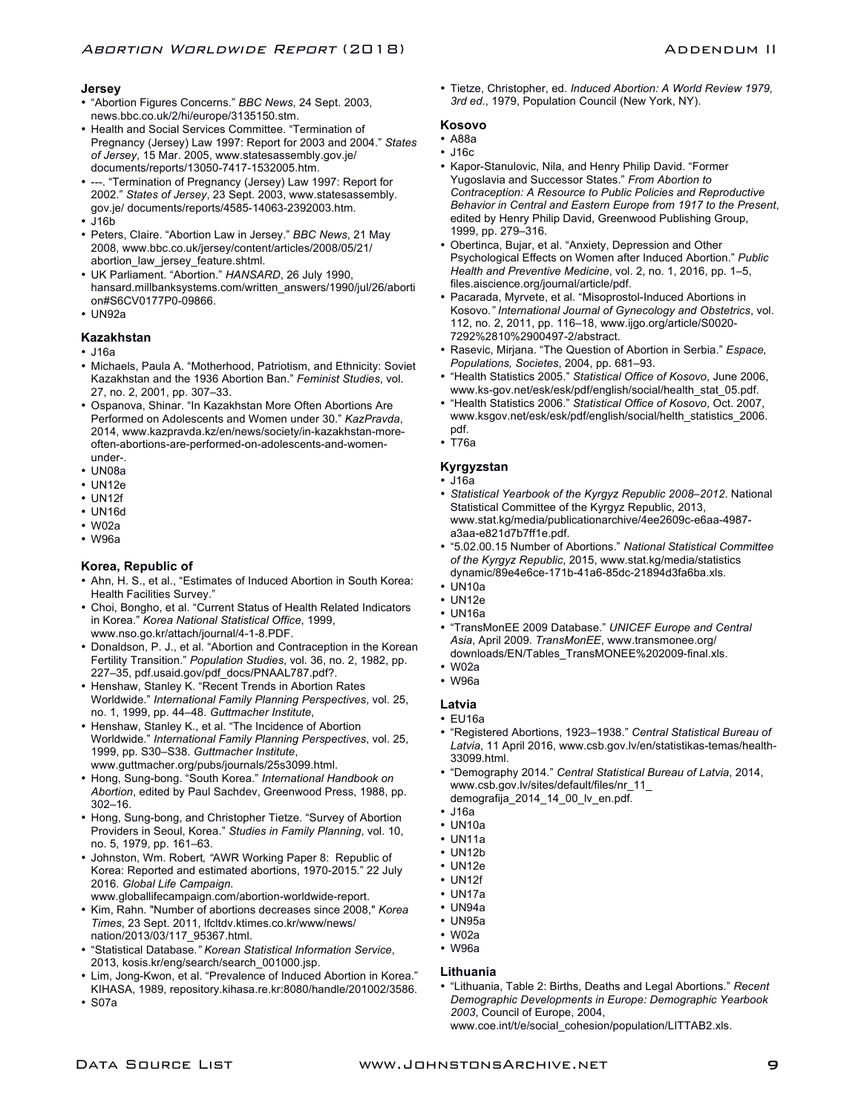# **Jersey**

- "Abortion Figures Concerns." *BBC News*, 24 Sept. 2003, news.bbc.co.uk/2/hi/europe/3135150.stm.
- Health and Social Services Committee. "Termination of Pregnancy (Jersey) Law 1997: Report for 2003 and 2004." *States of Jersey*, 15 Mar. 2005, www.statesassembly.gov.je/ documents/reports/13050-7417-1532005.htm.
- ---. "Termination of Pregnancy (Jersey) Law 1997: Report for 2002." *States of Jersey*, 23 Sept. 2003, www.statesassembly. gov.je/ documents/reports/4585-14063-2392003.htm.
- J16b
- Peters, Claire. "Abortion Law in Jersey." *BBC News*, 21 May 2008, www.bbc.co.uk/jersey/content/articles/2008/05/21/ abortion\_law\_jersey\_feature.shtml.
- UK Parliament. "Abortion." *HANSARD*, 26 July 1990, hansard.millbanksystems.com/written\_answers/1990/jul/26/aborti on#S6CV0177P0-09866.
- UN92a

#### **Kazakhstan**

- J16a
- Michaels, Paula A. "Motherhood, Patriotism, and Ethnicity: Soviet Kazakhstan and the 1936 Abortion Ban." *Feminist Studies*, vol. 27, no. 2, 2001, pp. 307–33.
- Ospanova, Shinar. "In Kazakhstan More Often Abortions Are Performed on Adolescents and Women under 30." *KazPravda*, 2014, www.kazpravda.kz/en/news/society/in-kazakhstan-moreoften-abortions-are-performed-on-adolescents-and-womenunder-.
- UN08a
- UN12e
- UN12f
- UN16d
- $\cdot$  W02a
- W96a

# **Korea, Republic of**

- Ahn, H. S., et al., "Estimates of Induced Abortion in South Korea: Health Facilities Survey."
- Choi, Bongho, et al. "Current Status of Health Related Indicators in Korea." *Korea National Statistical Office*, 1999, www.nso.go.kr/attach/journal/4-1-8.PDF.
- Donaldson, P. J., et al. "Abortion and Contraception in the Korean Fertility Transition." *Population Studies*, vol. 36, no. 2, 1982, pp. 227–35, pdf.usaid.gov/pdf\_docs/PNAAL787.pdf?.
- Henshaw, Stanley K. "Recent Trends in Abortion Rates Worldwide." *International Family Planning Perspectives*, vol. 25, no. 1, 1999, pp. 44–48. *Guttmacher Institute*,
- Henshaw, Stanley K., et al. "The Incidence of Abortion Worldwide." *International Family Planning Perspectives*, vol. 25, 1999, pp. S30–S38. *Guttmacher Institute*, www.guttmacher.org/pubs/journals/25s3099.html.
- Hong, Sung-bong. "South Korea." *International Handbook on Abortion*, edited by Paul Sachdev, Greenwood Press, 1988, pp. 302–16.
- Hong, Sung-bong, and Christopher Tietze. "Survey of Abortion Providers in Seoul, Korea." *Studies in Family Planning*, vol. 10, no. 5, 1979, pp. 161–63.
- Johnston, Wm. Robert*, "*AWR Working Paper 8: Republic of Korea: Reported and estimated abortions, 1970-2015*.*" 22 July 2016. *Global Life Campaign.* www.globallifecampaign.com/abortion-worldwide-report.
- Kim, Rahn. "Number of abortions decreases since 2008," *Korea*
- *Times*, 23 Sept. 2011, lfcltdv.ktimes.co.kr/www/news/ nation/2013/03/117\_95367.html.
- "Statistical Database*." Korean Statistical Information Service*, 2013, kosis.kr/eng/search/search\_001000.jsp.
- Lim, Jong-Kwon, et al. "Prevalence of Induced Abortion in Korea." KIHASA, 1989, repository.kihasa.re.kr:8080/handle/201002/3586.
- S07a

• Tietze, Christopher, ed. *Induced Abortion: A World Review 1979, 3rd ed.*, 1979, Population Council (New York, NY).

# **Kosovo**

- A88a
- J16c
- Kapor-Stanulovic, Nila, and Henry Philip David. "Former Yugoslavia and Successor States." *From Abortion to Contraception: A Resource to Public Policies and Reproductive Behavior in Central and Eastern Europe from 1917 to the Present*, edited by Henry Philip David, Greenwood Publishing Group, 1999, pp. 279–316.
- Obertinca, Bujar, et al. "Anxiety, Depression and Other Psychological Effects on Women after Induced Abortion." *Public Health and Preventive Medicine*, vol. 2, no. 1, 2016, pp. 1–5, files.aiscience.org/journal/article/pdf.
- Pacarada, Myrvete, et al. "Misoprostol-Induced Abortions in Kosovo*." International Journal of Gynecology and Obstetrics*, vol. 112, no. 2, 2011, pp. 116–18, www.ijgo.org/article/S0020- 7292%2810%2900497-2/abstract.
- Rasevic, Mirjana. "The Question of Abortion in Serbia." *Espace, Populations, Societes*, 2004, pp. 681–93.
- "Health Statistics 2005." *Statistical Office of Kosovo*, June 2006, www.ks-gov.net/esk/esk/pdf/english/social/health\_stat\_05.pdf.
- "Health Statistics 2006." *Statistical Office of Kosovo*, Oct. 2007, www.ksgov.net/esk/esk/pdf/english/social/helth\_statistics\_2006. pdf.
- T76a

# **Kyrgyzstan**

#### • J16a

- *Statistical Yearbook of the Kyrgyz Republic 2008–2012*. National Statistical Committee of the Kyrgyz Republic, 2013, www.stat.kg/media/publicationarchive/4ee2609c-e6aa-4987 a3aa-e821d7b7ff1e.pdf.
- "5.02.00.15 Number of Abortions." *National Statistical Committee of the Kyrgyz Republic*, 2015, www.stat.kg/media/statistics dynamic/89e4e6ce-171b-41a6-85dc-21894d3fa6ba.xls.
- UN10a
- UN12e
- UN16a
- "TransMonEE 2009 Database." *UNICEF Europe and Central Asia*, April 2009. *TransMonEE*, www.transmonee.org/ downloads/EN/Tables\_TransMONEE%202009-final.xls.
- W02a
- W96a
- **Latvia**
- EU16a
- "Registered Abortions, 1923–1938." *Central Statistical Bureau of Latvia*, 11 April 2016, www.csb.gov.lv/en/statistikas-temas/health-33099.html.
- "Demography 2014." *Central Statistical Bureau of Latvia*, 2014, www.csb.gov.lv/sites/default/files/nr\_11\_ demografija\_2014\_14\_00\_lv\_en.pdf.
- J16a
- UN10a
- UN11a
- UN12b
- UN12e
- UN12f
- UN17a
- UN94a
- UN95a
- W02a
- W96a

# **Lithuania**

• "Lithuania, Table 2: Births, Deaths and Legal Abortions." *Recent Demographic Developments in Europe: Demographic Yearbook 2003*, Council of Europe, 2004,

www.coe.int/t/e/social\_cohesion/population/LITTAB2.xls.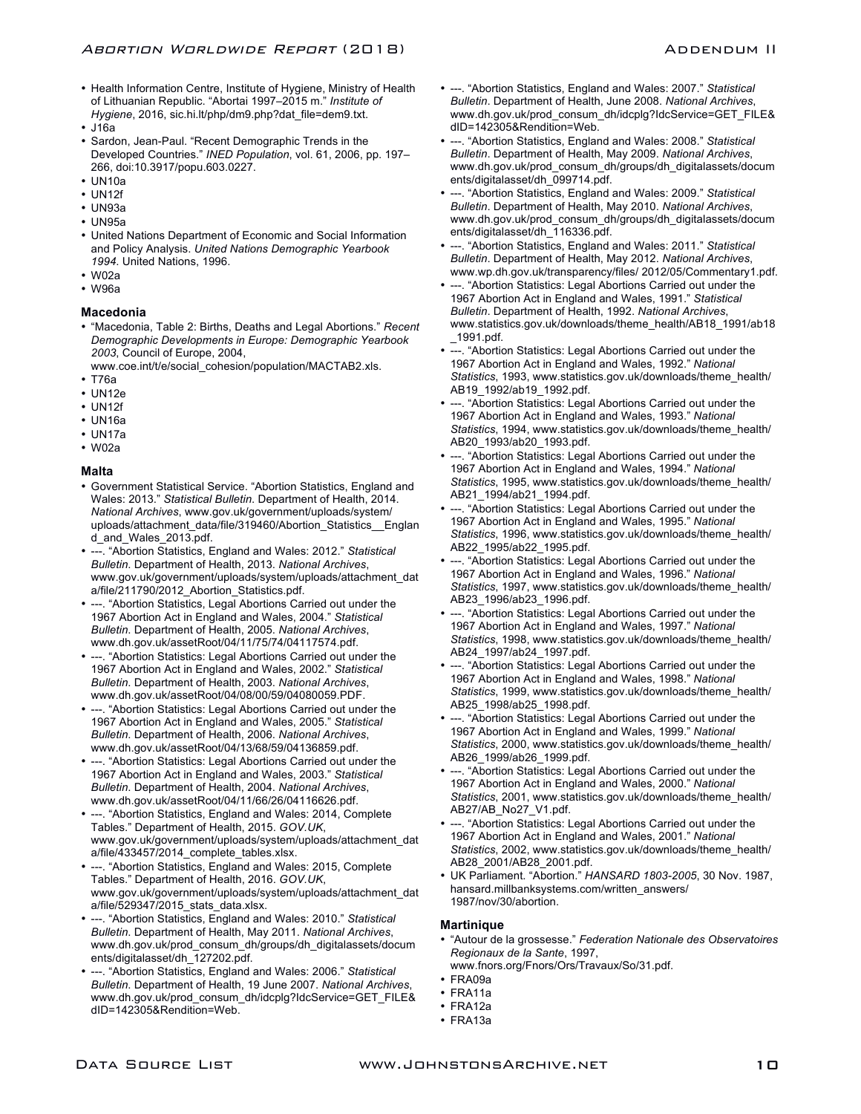- Health Information Centre, Institute of Hygiene, Ministry of Health of Lithuanian Republic. "Abortai 1997–2015 m." *Institute of Hygiene*, 2016, sic.hi.lt/php/dm9.php?dat\_file=dem9.txt.
- J16a
- Sardon, Jean-Paul. "Recent Demographic Trends in the Developed Countries." *INED Population*, vol. 61, 2006, pp. 197– 266, doi:10.3917/popu.603.0227.
- UN10a
- UN12f
- UN93a
- UN95a
- United Nations Department of Economic and Social Information and Policy Analysis. *United Nations Demographic Yearbook 1994*. United Nations, 1996.
- W02a
- W96a

#### **Macedonia**

- "Macedonia, Table 2: Births, Deaths and Legal Abortions." *Recent Demographic Developments in Europe: Demographic Yearbook 2003*, Council of Europe, 2004,
- www.coe.int/t/e/social\_cohesion/population/MACTAB2.xls. • T76a
- 
- UN12e • UN12f
- UN16a
- UN17a
- W02a

# **Malta**

- Government Statistical Service. "Abortion Statistics, England and Wales: 2013." *Statistical Bulletin*. Department of Health, 2014. *National Archives*, www.gov.uk/government/uploads/system/ uploads/attachment\_data/file/319460/Abortion\_Statistics\_\_Englan d\_and\_Wales\_2013.pdf.
- ---. "Abortion Statistics, England and Wales: 2012." *Statistical Bulletin*. Department of Health, 2013. *National Archives*, www.gov.uk/government/uploads/system/uploads/attachment\_dat a/file/211790/2012 Abortion Statistics.pdf.
- ---. "Abortion Statistics, Legal Abortions Carried out under the 1967 Abortion Act in England and Wales, 2004." *Statistical Bulletin*. Department of Health, 2005. *National Archives*, www.dh.gov.uk/assetRoot/04/11/75/74/04117574.pdf.
- ---. "Abortion Statistics: Legal Abortions Carried out under the 1967 Abortion Act in England and Wales, 2002." *Statistical Bulletin*. Department of Health, 2003. *National Archives*, www.dh.gov.uk/assetRoot/04/08/00/59/04080059.PDF.
- ---. "Abortion Statistics: Legal Abortions Carried out under the 1967 Abortion Act in England and Wales, 2005." *Statistical Bulletin*. Department of Health, 2006. *National Archives*, www.dh.gov.uk/assetRoot/04/13/68/59/04136859.pdf.
- ---. "Abortion Statistics: Legal Abortions Carried out under the 1967 Abortion Act in England and Wales, 2003." *Statistical Bulletin*. Department of Health, 2004. *National Archives*, www.dh.gov.uk/assetRoot/04/11/66/26/04116626.pdf.
- ---. "Abortion Statistics, England and Wales: 2014, Complete Tables." Department of Health, 2015. *GOV.UK*, www.gov.uk/government/uploads/system/uploads/attachment\_dat a/file/433457/2014\_complete\_tables.xlsx.
- ---. "Abortion Statistics, England and Wales: 2015, Complete Tables." Department of Health, 2016. *GOV.UK*, www.gov.uk/government/uploads/system/uploads/attachment\_dat a/file/529347/2015\_stats\_data.xlsx.
- ---. "Abortion Statistics, England and Wales: 2010." *Statistical Bulletin*. Department of Health, May 2011. *National Archives*, www.dh.gov.uk/prod\_consum\_dh/groups/dh\_digitalassets/docum ents/digitalasset/dh\_127202.pdf.
- ---. "Abortion Statistics, England and Wales: 2006." *Statistical Bulletin*. Department of Health, 19 June 2007. *National Archives*, www.dh.gov.uk/prod\_consum\_dh/idcplg?IdcService=GET\_FILE& dID=142305&Rendition=Web.
- ---. "Abortion Statistics, England and Wales: 2007." *Statistical Bulletin*. Department of Health, June 2008. *National Archives*, www.dh.gov.uk/prod\_consum\_dh/idcplg?IdcService=GET\_FILE& dID=142305&Rendition=Web.
- ---. "Abortion Statistics, England and Wales: 2008." *Statistical Bulletin*. Department of Health, May 2009. *National Archives*, www.dh.gov.uk/prod\_consum\_dh/groups/dh\_digitalassets/docum ents/digitalasset/dh\_099714.pdf.
- ---. "Abortion Statistics, England and Wales: 2009." *Statistical Bulletin*. Department of Health, May 2010. *National Archives*, www.dh.gov.uk/prod\_consum\_dh/groups/dh\_digitalassets/docum ents/digitalasset/dh\_116336.pdf.
- ---. "Abortion Statistics, England and Wales: 2011." *Statistical Bulletin*. Department of Health, May 2012. *National Archives*, www.wp.dh.gov.uk/transparency/files/ 2012/05/Commentary1.pdf.
- ---. "Abortion Statistics: Legal Abortions Carried out under the 1967 Abortion Act in England and Wales, 1991." *Statistical Bulletin*. Department of Health, 1992. *National Archives*, www.statistics.gov.uk/downloads/theme\_health/AB18\_1991/ab18 \_1991.pdf.
- ---. "Abortion Statistics: Legal Abortions Carried out under the 1967 Abortion Act in England and Wales, 1992." *National Statistics*, 1993, www.statistics.gov.uk/downloads/theme\_health/ AB19\_1992/ab19\_1992.pdf.
- ---. "Abortion Statistics: Legal Abortions Carried out under the 1967 Abortion Act in England and Wales, 1993." *National Statistics*, 1994, www.statistics.gov.uk/downloads/theme\_health/ AB20\_1993/ab20\_1993.pdf.
- ---. "Abortion Statistics: Legal Abortions Carried out under the 1967 Abortion Act in England and Wales, 1994." *National Statistics*, 1995, www.statistics.gov.uk/downloads/theme\_health/ AB21\_1994/ab21\_1994.pdf.
- ---. "Abortion Statistics: Legal Abortions Carried out under the 1967 Abortion Act in England and Wales, 1995." *National Statistics*, 1996, www.statistics.gov.uk/downloads/theme\_health/ AB22\_1995/ab22\_1995.pdf.
- ---. "Abortion Statistics: Legal Abortions Carried out under the 1967 Abortion Act in England and Wales, 1996." *National Statistics*, 1997, www.statistics.gov.uk/downloads/theme\_health/ AB23\_1996/ab23\_1996.pdf.
- ---. "Abortion Statistics: Legal Abortions Carried out under the 1967 Abortion Act in England and Wales, 1997." *National Statistics*, 1998, www.statistics.gov.uk/downloads/theme\_health/ AB24\_1997/ab24\_1997.pdf.
- ---. "Abortion Statistics: Legal Abortions Carried out under the 1967 Abortion Act in England and Wales, 1998." *National Statistics*, 1999, www.statistics.gov.uk/downloads/theme\_health/ AB25\_1998/ab25\_1998.pdf.
- ---. "Abortion Statistics: Legal Abortions Carried out under the 1967 Abortion Act in England and Wales, 1999." *National Statistics*, 2000, www.statistics.gov.uk/downloads/theme\_health/ AB26\_1999/ab26\_1999.pdf.
- ---. "Abortion Statistics: Legal Abortions Carried out under the 1967 Abortion Act in England and Wales, 2000." *National Statistics*, 2001, www.statistics.gov.uk/downloads/theme\_health/ AB27/AB\_No27\_V1.pdf.
- ---. "Abortion Statistics: Legal Abortions Carried out under the 1967 Abortion Act in England and Wales, 2001." *National Statistics*, 2002, www.statistics.gov.uk/downloads/theme\_health/ AB28\_2001/AB28\_2001.pdf.
- UK Parliament. "Abortion." *HANSARD 1803-2005*, 30 Nov. 1987, hansard.millbanksystems.com/written\_answers/ 1987/nov/30/abortion.

#### **Martinique**

- "Autour de la grossesse." *Federation Nationale des Observatoires Regionaux de la Sante*, 1997, www.fnors.org/Fnors/Ors/Travaux/So/31.pdf.
- FRA09a
- FRA11a
- FRA12a
- FRA13a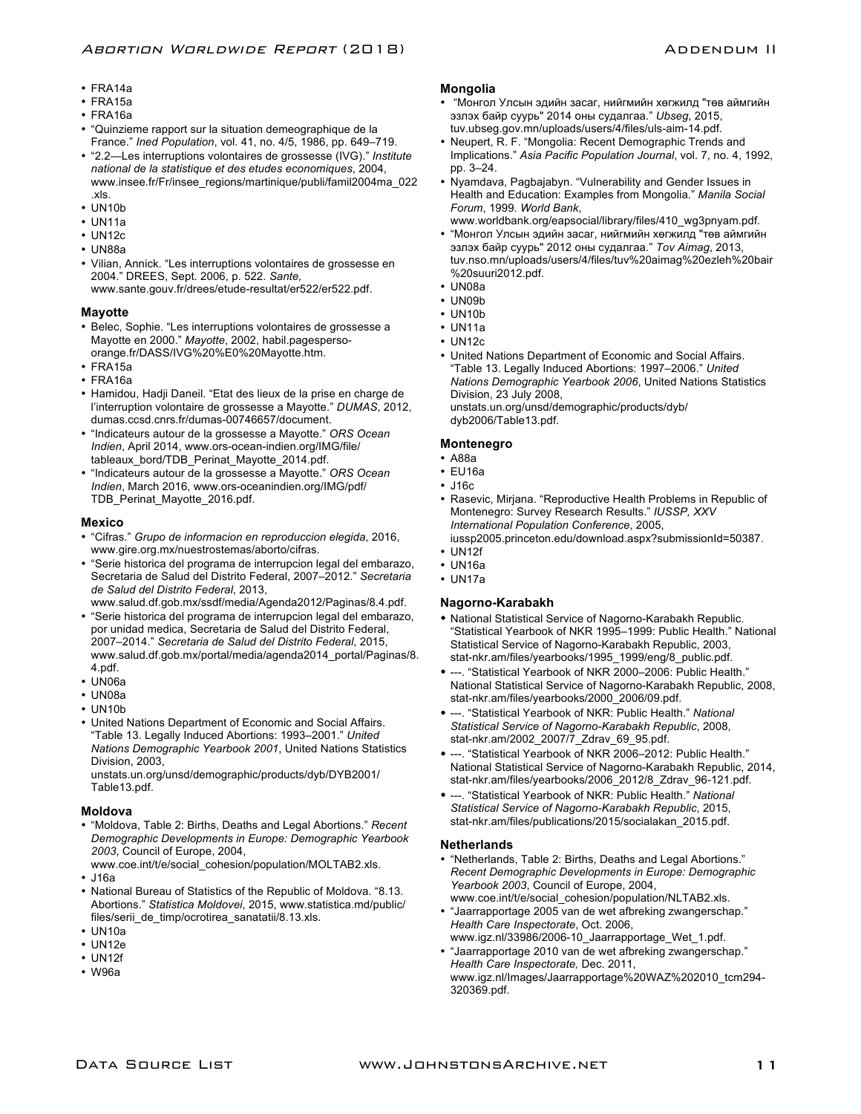- FRA14a
- FRA15a
- FRA16a
- "Quinzieme rapport sur la situation demeographique de la France." *Ined Population*, vol. 41, no. 4/5, 1986, pp. 649–719.
- "2.2—Les interruptions volontaires de grossesse (IVG)." *Institute national de la statistique et des etudes economiques*, 2004, www.insee.fr/Fr/insee\_regions/martinique/publi/famil2004ma\_022 .xls.
- UN10b
- UN11a
- UN12c
- 
- UN88a
- Vilian, Annick. "Les interruptions volontaires de grossesse en 2004." DREES, Sept. 2006, p. 522. *Sante,* www.sante.gouv.fr/drees/etude-resultat/er522/er522.pdf.
- **Mayotte**
- Belec, Sophie. "Les interruptions volontaires de grossesse a Mayotte en 2000." *Mayotte*, 2002, habil.pagespersoorange.fr/DASS/IVG%20%E0%20Mayotte.htm.
- FRA15a
- FRA16a
- Hamidou, Hadji Daneil. "Etat des lieux de la prise en charge de l'interruption volontaire de grossesse a Mayotte." *DUMAS*, 2012, dumas.ccsd.cnrs.fr/dumas-00746657/document.
- "Indicateurs autour de la grossesse a Mayotte." *ORS Ocean Indien*, April 2014, www.ors-ocean-indien.org/IMG/file/ tableaux\_bord/TDB\_Perinat\_Mayotte\_2014.pdf.
- "Indicateurs autour de la grossesse a Mayotte." *ORS Ocean Indien*, March 2016, www.ors-oceanindien.org/IMG/pdf/ TDB\_Perinat\_Mayotte\_2016.pdf.

# **Mexico**

- "Cifras." *Grupo de informacion en reproduccion elegida*, 2016, www.gire.org.mx/nuestrostemas/aborto/cifras.
- "Serie historica del programa de interrupcion legal del embarazo, Secretaria de Salud del Distrito Federal, 2007–2012." *Secretaria de Salud del Distrito Federal*, 2013,
- www.salud.df.gob.mx/ssdf/media/Agenda2012/Paginas/8.4.pdf. • "Serie historica del programa de interrupcion legal del embarazo, por unidad medica, Secretaria de Salud del Distrito Federal, 2007–2014." *Secretaria de Salud del Distrito Federal*, 2015, www.salud.df.gob.mx/portal/media/agenda2014\_portal/Paginas/8. 4.pdf.
- UN06a
- UN08a
- UN10b
- United Nations Department of Economic and Social Affairs. "Table 13. Legally Induced Abortions: 1993–2001." *United Nations Demographic Yearbook 2001*, United Nations Statistics Division, 2003,

unstats.un.org/unsd/demographic/products/dyb/DYB2001/ Table13.pdf.

#### **Moldova**

- "Moldova, Table 2: Births, Deaths and Legal Abortions." *Recent Demographic Developments in Europe: Demographic Yearbook 2003*, Council of Europe, 2004,
- www.coe.int/t/e/social\_cohesion/population/MOLTAB2.xls. • J16a
- National Bureau of Statistics of the Republic of Moldova. "8.13. Abortions." *Statistica Moldovei*, 2015, www.statistica.md/public/ files/serii\_de\_timp/ocrotirea\_sanatatii/8.13.xls.
- UN10a
- UN12e
- UN12f
- W96a

# **Mongolia**

- "Монгол Улсын эдийн засаг, нийгмийн хөгжилд "төв аймгийн эзлэх байр суурь" 2014 оны судалгаа." *Ubseg*, 2015, tuv.ubseg.gov.mn/uploads/users/4/files/uls-aim-14.pdf.
- Neupert, R. F. "Mongolia: Recent Demographic Trends and Implications." *Asia Pacific Population Journal*, vol. 7, no. 4, 1992, pp. 3–24.
- Nyamdava, Pagbajabyn. "Vulnerability and Gender Issues in Health and Education: Examples from Mongolia." *Manila Social Forum*, 1999. *World Bank*, www.worldbank.org/eapsocial/library/files/410\_wg3pnyam.pdf.
- "Монгол Улсын эдийн засаг, нийгмийн хөгжилд "төв аймгийн эзлэх байр суурь" 2012 оны судалгаа." *Tov Aimag*, 2013, tuv.nso.mn/uploads/users/4/files/tuv%20aimag%20ezleh%20bair %20suuri2012.pdf.
- UN08a
- UN09b
- UN10b
- UN11a
- UN12c
- United Nations Department of Economic and Social Affairs. "Table 13. Legally Induced Abortions: 1997–2006." *United Nations Demographic Yearbook 2006*, United Nations Statistics Division, 23 July 2008, unstats.un.org/unsd/demographic/products/dyb/ dyb2006/Table13.pdf.

**Montenegro**

# • A88a

- EU16a
- J16c
- 
- Rasevic, Mirjana. "Reproductive Health Problems in Republic of Montenegro: Survey Research Results." *IUSSP, XXV International Population Conference*, 2005,
- iussp2005.princeton.edu/download.aspx?submissionId=50387. • UN12f
- UN16a
- UN17a

#### **Nagorno-Karabakh**

- National Statistical Service of Nagorno-Karabakh Republic. "Statistical Yearbook of NKR 1995–1999: Public Health." National Statistical Service of Nagorno-Karabakh Republic, 2003, stat-nkr.am/files/yearbooks/1995\_1999/eng/8\_public.pdf.
- ---. "Statistical Yearbook of NKR 2000–2006: Public Health." National Statistical Service of Nagorno-Karabakh Republic, 2008, stat-nkr.am/files/yearbooks/2000\_2006/09.pdf.
- ---. "Statistical Yearbook of NKR: Public Health." *National Statistical Service of Nagorno-Karabakh Republic*, 2008, stat-nkr.am/2002\_2007/7\_Zdrav\_69\_95.pdf.
- ---. "Statistical Yearbook of NKR 2006–2012: Public Health." National Statistical Service of Nagorno-Karabakh Republic, 2014, stat-nkr.am/files/yearbooks/2006\_2012/8\_Zdrav\_96-121.pdf.
- ---. "Statistical Yearbook of NKR: Public Health." *National Statistical Service of Nagorno-Karabakh Republic*, 2015, stat-nkr.am/files/publications/2015/socialakan\_2015.pdf.

#### **Netherlands**

- "Netherlands, Table 2: Births, Deaths and Legal Abortions." *Recent Demographic Developments in Europe: Demographic Yearbook 2003*, Council of Europe, 2004, www.coe.int/t/e/social\_cohesion/population/NLTAB2.xls.
- "Jaarrapportage 2005 van de wet afbreking zwangerschap." *Health Care Inspectorate*, Oct. 2006, www.igz.nl/33986/2006-10\_Jaarrapportage\_Wet\_1.pdf.
- "Jaarrapportage 2010 van de wet afbreking zwangerschap." *Health Care Inspectorate,* Dec. 2011, www.igz.nl/Images/Jaarrapportage%20WAZ%202010\_tcm294- 320369.pdf.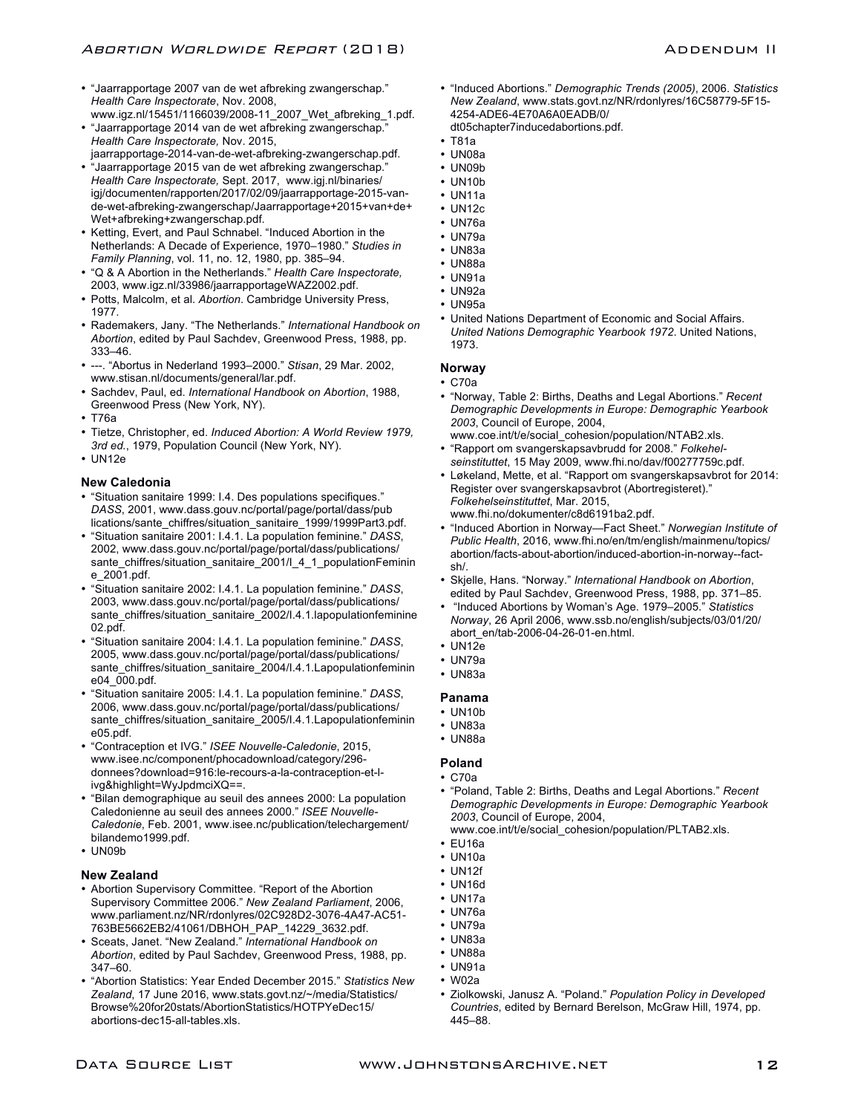- "Jaarrapportage 2007 van de wet afbreking zwangerschap." *Health Care Inspectorate*, Nov. 2008,
- www.igz.nl/15451/1166039/2008-11\_2007\_Wet\_afbreking\_1.pdf. • "Jaarrapportage 2014 van de wet afbreking zwangerschap." *Health Care Inspectorate,* Nov. 2015,
- jaarrapportage-2014-van-de-wet-afbreking-zwangerschap.pdf. • "Jaarrapportage 2015 van de wet afbreking zwangerschap."
- *Health Care Inspectorate,* Sept. 2017,www.igj.nl/binaries/ igj/documenten/rapporten/2017/02/09/jaarrapportage-2015-vande-wet-afbreking-zwangerschap/Jaarrapportage+2015+van+de+ Wet+afbreking+zwangerschap.pdf.
- Ketting, Evert, and Paul Schnabel. "Induced Abortion in the Netherlands: A Decade of Experience, 1970–1980." *Studies in Family Planning*, vol. 11, no. 12, 1980, pp. 385–94.
- "Q & A Abortion in the Netherlands." *Health Care Inspectorate,*  2003, www.igz.nl/33986/jaarrapportageWAZ2002.pdf.
- Potts, Malcolm, et al. *Abortion*. Cambridge University Press, 1977.
- Rademakers, Jany. "The Netherlands." *International Handbook on Abortion*, edited by Paul Sachdev, Greenwood Press, 1988, pp. 333–46.
- ---. "Abortus in Nederland 1993–2000." *Stisan*, 29 Mar. 2002, www.stisan.nl/documents/general/lar.pdf.
- Sachdev, Paul, ed. *International Handbook on Abortion*, 1988, Greenwood Press (New York, NY).
- T76a
- Tietze, Christopher, ed. *Induced Abortion: A World Review 1979, 3rd ed.*, 1979, Population Council (New York, NY).
- UN12e

# **New Caledonia**

- "Situation sanitaire 1999: I.4. Des populations specifiques." *DASS*, 2001, www.dass.gouv.nc/portal/page/portal/dass/pub lications/sante\_chiffres/situation\_sanitaire\_1999/1999Part3.pdf.
- "Situation sanitaire 2001: I.4.1. La population feminine." *DASS*, 2002, www.dass.gouv.nc/portal/page/portal/dass/publications/ sante\_chiffres/situation\_sanitaire\_2001/I\_4\_1\_populationFeminin e\_2001.pdf.
- "Situation sanitaire 2002: I.4.1. La population feminine." *DASS*, 2003, www.dass.gouv.nc/portal/page/portal/dass/publications/ sante\_chiffres/situation\_sanitaire\_2002/I.4.1.lapopulationfeminine 02.pdf.
- "Situation sanitaire 2004: I.4.1. La population feminine." *DASS*, 2005, www.dass.gouv.nc/portal/page/portal/dass/publications/ sante\_chiffres/situation\_sanitaire\_2004/I.4.1.Lapopulationfeminin e04\_000.pdf.
- "Situation sanitaire 2005: I.4.1. La population feminine." *DASS*, 2006, www.dass.gouv.nc/portal/page/portal/dass/publications/ sante\_chiffres/situation\_sanitaire\_2005/I.4.1.Lapopulationfeminin e05.pdf.
- "Contraception et IVG." *ISEE Nouvelle-Caledonie*, 2015, www.isee.nc/component/phocadownload/category/296 donnees?download=916:le-recours-a-la-contraception-et-livg&highlight=WyJpdmciXQ==.
- "Bilan demographique au seuil des annees 2000: La population Caledonienne au seuil des annees 2000." *ISEE Nouvelle-Caledonie*, Feb. 2001, www.isee.nc/publication/telechargement/ bilandemo1999.pdf.
- UN09b

# **New Zealand**

- Abortion Supervisory Committee. "Report of the Abortion Supervisory Committee 2006." *New Zealand Parliament*, 2006, www.parliament.nz/NR/rdonlyres/02C928D2-3076-4A47-AC51- 763BE5662EB2/41061/DBHOH\_PAP\_14229\_3632.pdf.
- Sceats, Janet. "New Zealand." *International Handbook on Abortion*, edited by Paul Sachdev, Greenwood Press, 1988, pp. 347–60.
- "Abortion Statistics: Year Ended December 2015." *Statistics New Zealand*, 17 June 2016, www.stats.govt.nz/~/media/Statistics/ Browse%20for20stats/AbortionStatistics/HOTPYeDec15/ abortions-dec15-all-tables.xls.
- "Induced Abortions." *Demographic Trends (2005)*, 2006. *Statistics New Zealand*, www.stats.govt.nz/NR/rdonlyres/16C58779-5F15- 4254-ADE6-4E70A6A0EADB/0/ dt05chapter7inducedabortions.pdf.
- T81a
- UN08a
- UN09b
- UN10b
- UN11a
- UN12c
- UN76a
- UN79a
- UN83a
- 
- UN88a
- UN91a
- UN92a
- UN95a
- United Nations Department of Economic and Social Affairs. *United Nations Demographic Yearbook 1972*. United Nations, 1973.

# **Norway**

- C70a
- "Norway, Table 2: Births, Deaths and Legal Abortions." *Recent Demographic Developments in Europe: Demographic Yearbook 2003*, Council of Europe, 2004,
- www.coe.int/t/e/social\_cohesion/population/NTAB2.xls. • "Rapport om svangerskapsavbrudd for 2008." *Folkehelseinstituttet*, 15 May 2009, www.fhi.no/dav/f00277759c.pdf.
- Løkeland, Mette, et al. "Rapport om svangerskapsavbrot for 2014: Register over svangerskapsavbrot (Abortregisteret)." *Folkehelseinstituttet*, Mar. 2015, www.fhi.no/dokumenter/c8d6191ba2.pdf.
- "Induced Abortion in Norway—Fact Sheet." *Norwegian Institute of Public Health*, 2016, www.fhi.no/en/tm/english/mainmenu/topics/ abortion/facts-about-abortion/induced-abortion-in-norway--factsh/.
- Skjelle, Hans. "Norway." *International Handbook on Abortion*, edited by Paul Sachdev, Greenwood Press, 1988, pp. 371–85.
- "Induced Abortions by Woman's Age. 1979–2005." *Statistics Norway*, 26 April 2006, www.ssb.no/english/subjects/03/01/20/ abort\_en/tab-2006-04-26-01-en.html.
- UN12e
- UN79a
- UN83a

# **Panama**

- UN10b
- UN83a
- UN88a
- **Poland**

#### • C70a

- "Poland, Table 2: Births, Deaths and Legal Abortions." *Recent Demographic Developments in Europe: Demographic Yearbook 2003*, Council of Europe, 2004,
	- www.coe.int/t/e/social\_cohesion/population/PLTAB2.xls.
- EU16a
- UN10a
- UN12f
- UN16d
- UN17a
- UN76a
- UN79a
- UN83a
- UN88a
- UN91a
- W02a
- Ziolkowski, Janusz A. "Poland." *Population Policy in Developed Countries*, edited by Bernard Berelson, McGraw Hill, 1974, pp. 445–88.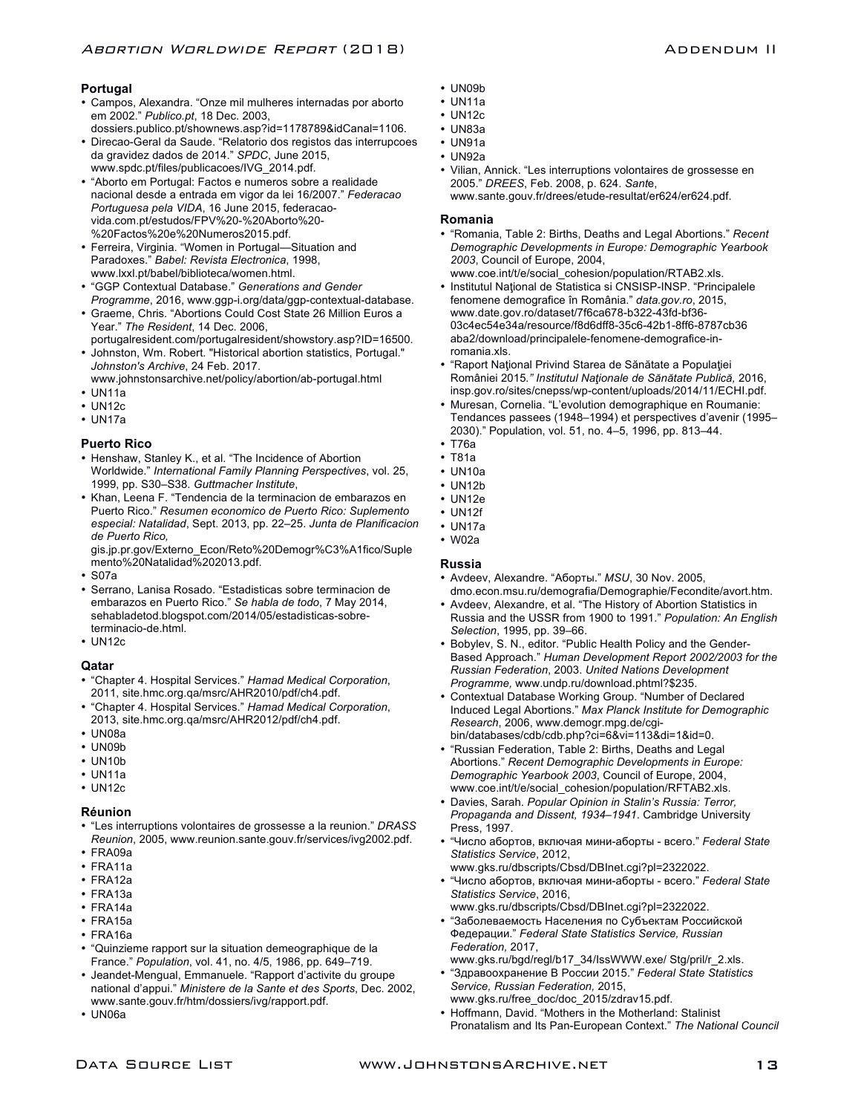# **Portugal**

- Campos, Alexandra. "Onze mil mulheres internadas por aborto em 2002." *Publico.pt*, 18 Dec. 2003,
- dossiers.publico.pt/shownews.asp?id=1178789&idCanal=1106. • Direcao-Geral da Saude. "Relatorio dos registos das interrupcoes da gravidez dados de 2014." *SPDC*, June 2015, www.spdc.pt/files/publicacoes/IVG\_2014.pdf.
- "Aborto em Portugal: Factos e numeros sobre a realidade nacional desde a entrada em vigor da lei 16/2007." *Federacao Portuguesa pela VIDA*, 16 June 2015, federacaovida.com.pt/estudos/FPV%20-%20Aborto%20- %20Factos%20e%20Numeros2015.pdf.
- Ferreira, Virginia. "Women in Portugal—Situation and Paradoxes." *Babel: Revista Electronica*, 1998, www.lxxl.pt/babel/biblioteca/women.html.
- "GGP Contextual Database." *Generations and Gender Programme*, 2016, www.ggp-i.org/data/ggp-contextual-database.
- Graeme, Chris. "Abortions Could Cost State 26 Million Euros a Year." *The Resident*, 14 Dec. 2006,
- portugalresident.com/portugalresident/showstory.asp?ID=16500.
- Johnston, Wm. Robert. "Historical abortion statistics, Portugal." *Johnston's Archive*, 24 Feb. 2017.
- www.johnstonsarchive.net/policy/abortion/ab-portugal.html • UN11a
- UN12c
- UN17a

# **Puerto Rico**

- Henshaw, Stanley K., et al. "The Incidence of Abortion Worldwide." *International Family Planning Perspectives*, vol. 25, 1999, pp. S30–S38. *Guttmacher Institute*,
- Khan, Leena F. "Tendencia de la terminacion de embarazos en Puerto Rico." *Resumen economico de Puerto Rico: Suplemento especial: Natalidad*, Sept. 2013, pp. 22–25. *Junta de Planificacion de Puerto Rico,*
- gis.jp.pr.gov/Externo\_Econ/Reto%20Demogr%C3%A1fico/Suple mento%20Natalidad%202013.pdf.
- S07a
- Serrano, Lanisa Rosado. "Estadisticas sobre terminacion de embarazos en Puerto Rico." *Se habla de todo*, 7 May 2014, sehabladetod.blogspot.com/2014/05/estadisticas-sobreterminacio-de.html.
- UN12c

# **Qatar**

- "Chapter 4. Hospital Services." *Hamad Medical Corporation*, 2011, site.hmc.org.qa/msrc/AHR2010/pdf/ch4.pdf.
- "Chapter 4. Hospital Services." *Hamad Medical Corporation*, 2013, site.hmc.org.qa/msrc/AHR2012/pdf/ch4.pdf.
- UN08a
- UN09b
- UN10b
- UN11a
- UN12c

# **Réunion**

- "Les interruptions volontaires de grossesse a la reunion." *DRASS Reunion*, 2005, www.reunion.sante.gouv.fr/services/ivg2002.pdf.
- FRA09a
- FRA11a
- FRA12a
- FRA13a
- FRA14a
- FRA15a
- FRA16a
- "Quinzieme rapport sur la situation demeographique de la France." *Population*, vol. 41, no. 4/5, 1986, pp. 649–719.
- Jeandet-Mengual, Emmanuele. "Rapport d'activite du groupe national d'appui." *Ministere de la Sante et des Sports*, Dec. 2002, www.sante.gouv.fr/htm/dossiers/ivg/rapport.pdf.
- UN06a
- UN09b
- UN11a
- UN12c
- UN83a
- UN91a
- UN92a
- Vilian, Annick. "Les interruptions volontaires de grossesse en 2005." *DREES*, Feb. 2008, p. 624. *Sant*e, www.sante.gouv.fr/drees/etude-resultat/er624/er624.pdf.

### **Romania**

- "Romania, Table 2: Births, Deaths and Legal Abortions." *Recent Demographic Developments in Europe: Demographic Yearbook 2003*, Council of Europe, 2004,
- www.coe.int/t/e/social\_cohesion/population/RTAB2.xls.
- Institutul Naţional de Statistica si CNSISP-INSP. "Principalele fenomene demografice în România." *data.gov.ro*, 2015, www.date.gov.ro/dataset/7f6ca678-b322-43fd-bf36- 03c4ec54e34a/resource/f8d6dff8-35c6-42b1-8ff6-8787cb36 aba2/download/principalele-fenomene-demografice-inromania.xls.
- "Raport Naţional Privind Starea de Sănătate a Populaţiei României 2015*." Institutul Naţionale de Sănătate Publică,* 2016, insp.gov.ro/sites/cnepss/wp-content/uploads/2014/11/ECHI.pdf.
- Muresan, Cornelia. "L'evolution demographique en Roumanie: Tendances passees (1948–1994) et perspectives d'avenir (1995– 2030)." Population, vol. 51, no. 4–5, 1996, pp. 813–44.
- T76a
- T81a
- UN10a
- UN12b
- UN12e
- UN12f
- UN17a
- W02a

# **Russia**

- Avdeev, Alexandre. "Аборты." *MSU*, 30 Nov. 2005, dmo.econ.msu.ru/demografia/Demographie/Fecondite/avort.htm.
- Avdeev, Alexandre, et al. "The History of Abortion Statistics in Russia and the USSR from 1900 to 1991." *Population: An English Selection*, 1995, pp. 39–66.
- Bobylev, S. N., editor. "Public Health Policy and the Gender-Based Approach." *Human Development Report 2002/2003 for the Russian Federation*, 2003. *United Nations Development Programme,* www.undp.ru/download.phtml?\$235.
- Contextual Database Working Group. "Number of Declared Induced Legal Abortions." *Max Planck Institute for Demographic Research*, 2006, www.demogr.mpg.de/cgibin/databases/cdb/cdb.php?ci=6&vi=113&di=1&id=0.
- "Russian Federation, Table 2: Births, Deaths and Legal Abortions." *Recent Demographic Developments in Europe: Demographic Yearbook 2003*, Council of Europe, 2004, www.coe.int/t/e/social\_cohesion/population/RFTAB2.xls.
- Davies, Sarah. *Popular Opinion in Stalin's Russia: Terror, Propaganda and Dissent, 1934–1941*. Cambridge University Press, 1997.
- "Число абортов, включая мини-аборты всего." *Federal State Statistics Service*, 2012,
- www.gks.ru/dbscripts/Cbsd/DBInet.cgi?pl=2322022.
- "Число абортов, включая мини-аборты всего." *Federal State Statistics Service*, 2016, www.gks.ru/dbscripts/Cbsd/DBInet.cgi?pl=2322022.
- "Заболеваемость Населения по Субъектам Российской Федерации." *Federal State Statistics Service, Russian Federation,* 2017,
- www.gks.ru/bgd/regl/b17\_34/IssWWW.exe/ Stg/pril/r\_2.xls. • "Здравоохранение В России 2015." *Federal State Statistics*
- *Service, Russian Federation,* 2015, www.gks.ru/free\_doc/doc\_2015/zdrav15.pdf.
- Hoffmann, David. "Mothers in the Motherland: Stalinist Pronatalism and Its Pan-European Context." *The National Council*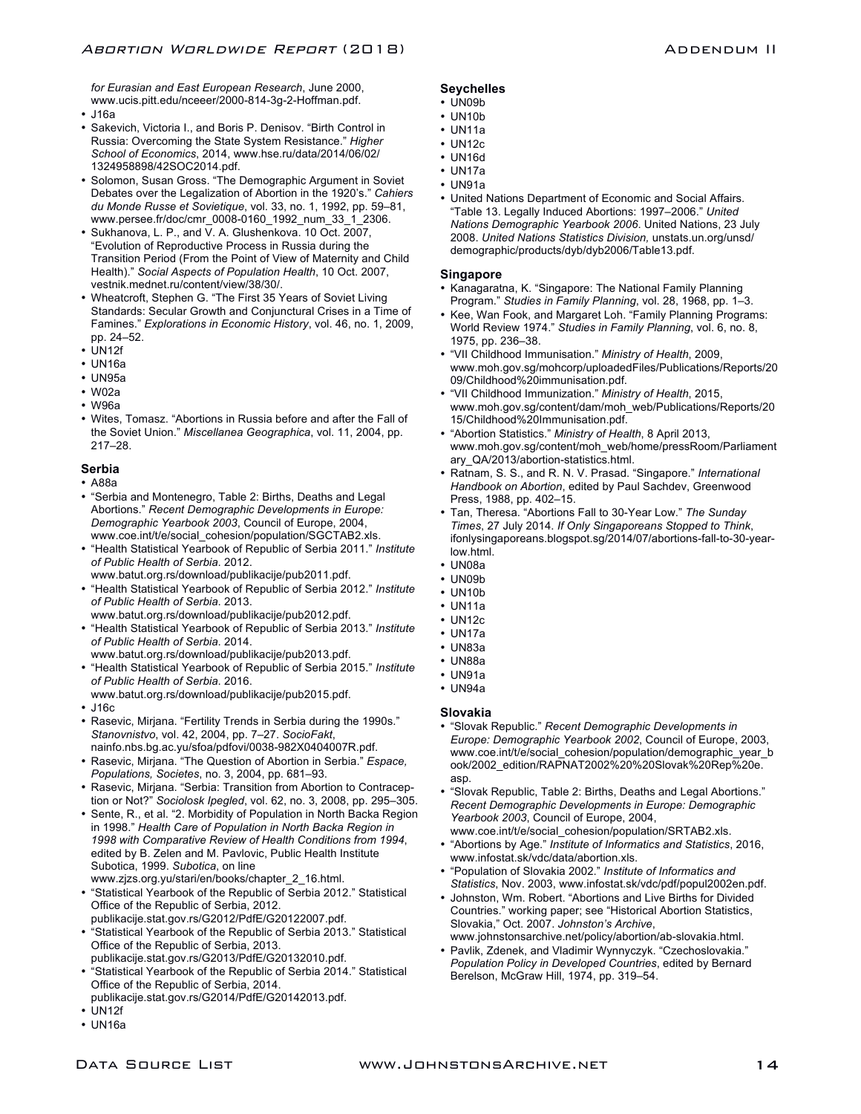*for Eurasian and East European Research*, June 2000, www.ucis.pitt.edu/nceeer/2000-814-3g-2-Hoffman.pdf.

- J16a
- Sakevich, Victoria I., and Boris P. Denisov. "Birth Control in Russia: Overcoming the State System Resistance." *Higher School of Economics*, 2014, www.hse.ru/data/2014/06/02/ 1324958898/42SOC2014.pdf.
- Solomon, Susan Gross. "The Demographic Argument in Soviet Debates over the Legalization of Abortion in the 1920's." *Cahiers du Monde Russe et Sovietique*, vol. 33, no. 1, 1992, pp. 59–81, www.persee.fr/doc/cmr\_0008-0160\_1992\_num\_33\_1\_2306.
- Sukhanova, L. P., and V. A. Glushenkova. 10 Oct. 2007, "Evolution of Reproductive Process in Russia during the Transition Period (From the Point of View of Maternity and Child Health)." *Social Aspects of Population Health*, 10 Oct. 2007, vestnik.mednet.ru/content/view/38/30/.
- Wheatcroft, Stephen G. "The First 35 Years of Soviet Living Standards: Secular Growth and Conjunctural Crises in a Time of Famines." *Explorations in Economic History*, vol. 46, no. 1, 2009, pp. 24–52.
- UN12f
- UN16a
- UN95a
- W02a
- W96a
- Wites, Tomasz. "Abortions in Russia before and after the Fall of the Soviet Union." *Miscellanea Geographica*, vol. 11, 2004, pp. 217–28.

# **Serbia**

- A88a
- "Serbia and Montenegro, Table 2: Births, Deaths and Legal Abortions." *Recent Demographic Developments in Europe: Demographic Yearbook 2003*, Council of Europe, 2004, www.coe.int/t/e/social\_cohesion/population/SGCTAB2.xls.
- "Health Statistical Yearbook of Republic of Serbia 2011." *Institute of Public Health of Serbia*. 2012. www.batut.org.rs/download/publikacije/pub2011.pdf.
- "Health Statistical Yearbook of Republic of Serbia 2012." *Institute of Public Health of Serbia*. 2013.
- www.batut.org.rs/download/publikacije/pub2012.pdf.
- "Health Statistical Yearbook of Republic of Serbia 2013." *Institute of Public Health of Serbia*. 2014.
- www.batut.org.rs/download/publikacije/pub2013.pdf. • "Health Statistical Yearbook of Republic of Serbia 2015." *Institute of Public Health of Serbia*. 2016.
- www.batut.org.rs/download/publikacije/pub2015.pdf. • J16c
- Rasevic, Mirjana. "Fertility Trends in Serbia during the 1990s." *Stanovnistvo*, vol. 42, 2004, pp. 7–27. *SocioFakt*,
- nainfo.nbs.bg.ac.yu/sfoa/pdfovi/0038-982X0404007R.pdf. • Rasevic, Mirjana. "The Question of Abortion in Serbia." *Espace, Populations, Societes*, no. 3, 2004, pp. 681–93.
- Rasevic, Mirjana. "Serbia: Transition from Abortion to Contraception or Not?" *Sociolosk Ipegled*, vol. 62, no. 3, 2008, pp. 295–305.
- Sente, R., et al. "2. Morbidity of Population in North Backa Region in 1998." *Health Care of Population in North Backa Region in 1998 with Comparative Review of Health Conditions from 1994*, edited by B. Zelen and M. Pavlovic, Public Health Institute Subotica, 1999. *Subotica*, on line www.zjzs.org.yu/stari/en/books/chapter\_2\_16.html.
- "Statistical Yearbook of the Republic of Serbia 2012." Statistical Office of the Republic of Serbia, 2012. publikacije.stat.gov.rs/G2012/PdfE/G20122007.pdf.
- "Statistical Yearbook of the Republic of Serbia 2013." Statistical Office of the Republic of Serbia, 2013.
- publikacije.stat.gov.rs/G2013/PdfE/G20132010.pdf. • "Statistical Yearbook of the Republic of Serbia 2014." Statistical Office of the Republic of Serbia, 2014.
- publikacije.stat.gov.rs/G2014/PdfE/G20142013.pdf.
- UN12f
- UN16a

# **Seychelles**

- UN09b
- UN10b
- UN11a
- UN12c
- UN16d • UN17a
- UN91a
- United Nations Department of Economic and Social Affairs. "Table 13. Legally Induced Abortions: 1997–2006." *United Nations Demographic Yearbook 2006*. United Nations, 23 July 2008. *United Nations Statistics Division,* unstats.un.org/unsd/ demographic/products/dyb/dyb2006/Table13.pdf.

# **Singapore**

- Kanagaratna, K. "Singapore: The National Family Planning Program." *Studies in Family Planning*, vol. 28, 1968, pp. 1–3.
- Kee, Wan Fook, and Margaret Loh. "Family Planning Programs: World Review 1974." *Studies in Family Planning*, vol. 6, no. 8, 1975, pp. 236–38.
- "VII Childhood Immunisation." *Ministry of Health*, 2009, www.moh.gov.sg/mohcorp/uploadedFiles/Publications/Reports/20 09/Childhood%20immunisation.pdf.
- "VII Childhood Immunization." *Ministry of Health*, 2015, www.moh.gov.sg/content/dam/moh\_web/Publications/Reports/20 15/Childhood%20Immunisation.pdf.
- "Abortion Statistics." *Ministry of Health*, 8 April 2013, www.moh.gov.sg/content/moh\_web/home/pressRoom/Parliament ary\_QA/2013/abortion-statistics.html.
- Ratnam, S. S., and R. N. V. Prasad. "Singapore." *International Handbook on Abortion*, edited by Paul Sachdev, Greenwood Press, 1988, pp. 402–15.
- Tan, Theresa. "Abortions Fall to 30-Year Low." *The Sunday Times*, 27 July 2014. *If Only Singaporeans Stopped to Think*, ifonlysingaporeans.blogspot.sg/2014/07/abortions-fall-to-30-yearlow.html.
- UN08a
- UN09b
- UN10b
- UN11a
- UN12c
- UN17a
- UN83a
- UN88a
- UN91a
- UN94a

# **Slovakia**

- "Slovak Republic." *Recent Demographic Developments in Europe: Demographic Yearbook 2002*, Council of Europe, 2003, www.coe.int/t/e/social\_cohesion/population/demographic\_year\_b ook/2002\_edition/RAPNAT2002%20%20Slovak%20Rep%20e. asp.
- "Slovak Republic, Table 2: Births, Deaths and Legal Abortions." *Recent Demographic Developments in Europe: Demographic Yearbook 2003*, Council of Europe, 2004, www.coe.int/t/e/social\_cohesion/population/SRTAB2.xls.
- "Abortions by Age." *Institute of Informatics and Statistics*, 2016, www.infostat.sk/vdc/data/abortion.xls.
- "Population of Slovakia 2002." *Institute of Informatics and Statistics*, Nov. 2003, www.infostat.sk/vdc/pdf/popul2002en.pdf.
- Johnston, Wm. Robert. "Abortions and Live Births for Divided Countries." working paper; see "Historical Abortion Statistics, Slovakia," Oct. 2007. *Johnston's Archive*, www.johnstonsarchive.net/policy/abortion/ab-slovakia.html.
- Pavlik, Zdenek, and Vladimir Wynnyczyk. "Czechoslovakia." *Population Policy in Developed Countries*, edited by Bernard Berelson, McGraw Hill, 1974, pp. 319–54.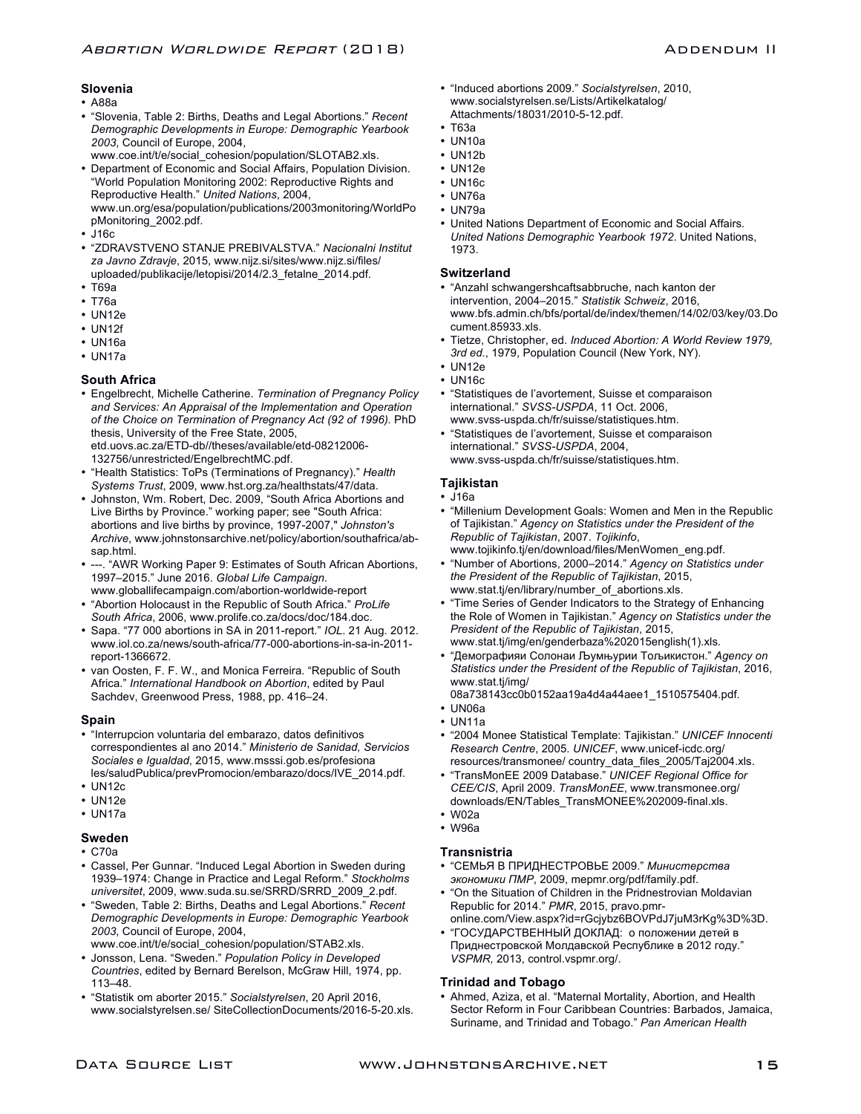# **Slovenia**

- A88a
- "Slovenia, Table 2: Births, Deaths and Legal Abortions." *Recent Demographic Developments in Europe: Demographic Yearbook 2003*, Council of Europe, 2004,
	- www.coe.int/t/e/social\_cohesion/population/SLOTAB2.xls.
- Department of Economic and Social Affairs, Population Division. "World Population Monitoring 2002: Reproductive Rights and Reproductive Health." *United Nations*, 2004, www.un.org/esa/population/publications/2003monitoring/WorldPo pMonitoring\_2002.pdf.
- J16c
- "ZDRAVSTVENO STANJE PREBIVALSTVA." *Nacionalni Institut za Javno Zdravje*, 2015, www.nijz.si/sites/www.nijz.si/files/ uploaded/publikacije/letopisi/2014/2.3\_fetalne\_2014.pdf.
- T69a
- T76a
- UN12e
- UN12f
- UN16a
- UN17a

# **South Africa**

• Engelbrecht, Michelle Catherine. *Termination of Pregnancy Policy and Services: An Appraisal of the Implementation and Operation of the Choice on Termination of Pregnancy Act (92 of 1996).* PhD thesis, University of the Free State, 2005, etd.uovs.ac.za/ETD-db//theses/available/etd-08212006-

132756/unrestricted/EngelbrechtMC.pdf.

- "Health Statistics: ToPs (Terminations of Pregnancy)." *Health Systems Trust*, 2009, www.hst.org.za/healthstats/47/data.
- Johnston, Wm. Robert, Dec. 2009, "South Africa Abortions and Live Births by Province." working paper; see "South Africa: abortions and live births by province, 1997-2007," *Johnston's Archive*, www.johnstonsarchive.net/policy/abortion/southafrica/absap.html.
- ---. "AWR Working Paper 9: Estimates of South African Abortions, 1997–2015." June 2016. *Global Life Campaign*. www.globallifecampaign.com/abortion-worldwide-report
- "Abortion Holocaust in the Republic of South Africa." *ProLife South Africa*, 2006, www.prolife.co.za/docs/doc/184.doc.
- Sapa. "77 000 abortions in SA in 2011-report." *IOL*. 21 Aug. 2012. www.iol.co.za/news/south-africa/77-000-abortions-in-sa-in-2011 report-1366672.
- van Oosten, F. F. W., and Monica Ferreira. "Republic of South Africa." *International Handbook on Abortion*, edited by Paul Sachdev, Greenwood Press, 1988, pp. 416–24.

#### **Spain**

- "Interrupcion voluntaria del embarazo, datos definitivos correspondientes al ano 2014." *Ministerio de Sanidad, Servicios Sociales e Igualdad*, 2015, www.msssi.gob.es/profesiona les/saludPublica/prevPromocion/embarazo/docs/IVE\_2014.pdf.
- UN12c
- UN12e
- UN17a
- 

# **Sweden**

- C70a
- Cassel, Per Gunnar. "Induced Legal Abortion in Sweden during 1939–1974: Change in Practice and Legal Reform." *Stockholms universitet*, 2009, www.suda.su.se/SRRD/SRRD\_2009\_2.pdf.
- "Sweden, Table 2: Births, Deaths and Legal Abortions." *Recent Demographic Developments in Europe: Demographic Yearbook 2003*, Council of Europe, 2004, www.coe.int/t/e/social\_cohesion/population/STAB2.xls.
- Jonsson, Lena. "Sweden." *Population Policy in Developed*
- *Countries*, edited by Bernard Berelson, McGraw Hill, 1974, pp. 113–48.
- "Statistik om aborter 2015." *Socialstyrelsen*, 20 April 2016, www.socialstyrelsen.se/ SiteCollectionDocuments/2016-5-20.xls.
- "Induced abortions 2009." *Socialstyrelsen*, 2010, www.socialstyrelsen.se/Lists/Artikelkatalog/ Attachments/18031/2010-5-12.pdf.
- T63a
- UN10a
- UN12b
- $\cdot$  UN12e
- UN16c
- UN76a
- UN79a
- United Nations Department of Economic and Social Affairs. *United Nations Demographic Yearbook 1972*. United Nations, 1973.

# **Switzerland**

- "Anzahl schwangershcaftsabbruche, nach kanton der intervention, 2004–2015." *Statistik Schweiz*, 2016, www.bfs.admin.ch/bfs/portal/de/index/themen/14/02/03/key/03.Do cument.85933.xls.
- Tietze, Christopher, ed. *Induced Abortion: A World Review 1979, 3rd ed.*, 1979, Population Council (New York, NY).
- UN12e
- UN16c
- "Statistiques de l'avortement, Suisse et comparaison international." *SVSS-USPDA*, 11 Oct. 2006, www.svss-uspda.ch/fr/suisse/statistiques.htm.
- "Statistiques de l'avortement, Suisse et comparaison international." *SVSS-USPDA*, 2004, www.svss-uspda.ch/fr/suisse/statistiques.htm.
	-

# **Tajikistan**

- J16a
- "Millenium Development Goals: Women and Men in the Republic of Tajikistan." *Agency on Statistics under the President of the Republic of Tajikistan*, 2007. *Tojikinfo*, www.tojikinfo.tj/en/download/files/MenWomen\_eng.pdf.
- "Number of Abortions, 2000–2014." *Agency on Statistics under the President of the Republic of Tajikistan*, 2015, www.stat.tj/en/library/number\_of\_abortions.xls.
- "Time Series of Gender Indicators to the Strategy of Enhancing the Role of Women in Tajikistan." *Agency on Statistics under the President of the Republic of Tajikistan*, 2015, www.stat.tj/img/en/genderbaza%202015english(1).xls.
- "Демографияи Солонаи Љумњурии Тољикистон." *Agency on Statistics under the President of the Republic of Tajikistan*, 2016, www.stat.tj/img/
- 08a738143cc0b0152aa19a4d4a44aee1\_1510575404.pdf.
- UN06a
- UN11a
- "2004 Monee Statistical Template: Tajikistan." *UNICEF Innocenti Research Centre*, 2005. *UNICEF*, www.unicef-icdc.org/ resources/transmonee/ country\_data\_files\_2005/Taj2004.xls.
- "TransMonEE 2009 Database." *UNICEF Regional Office for CEE/CIS*, April 2009. *TransMonEE*, www.transmonee.org/ downloads/EN/Tables\_TransMONEE%202009-final.xls.
- W02a
- W96a

# **Transnistria**

- "СЕМЬЯ В ПРИДНЕСТРОВЬЕ 2009." *Министерства экономики ПМР*, 2009, mepmr.org/pdf/family.pdf.
- "On the Situation of Children in the Pridnestrovian Moldavian Republic for 2014." *PMR*, 2015, pravo.pmronline.com/View.aspx?id=rGcjybz6BOVPdJ7juM3rKg%3D%3D.
- "ГОСУДАРСТВЕННЫЙ ДОКЛАД: о положении детей в Приднестровской Молдавской Республике в 2012 году." *VSPMR,* 2013, control.vspmr.org/.

# **Trinidad and Tobago**

• Ahmed, Aziza, et al. "Maternal Mortality, Abortion, and Health Sector Reform in Four Caribbean Countries: Barbados, Jamaica, Suriname, and Trinidad and Tobago." *Pan American Health*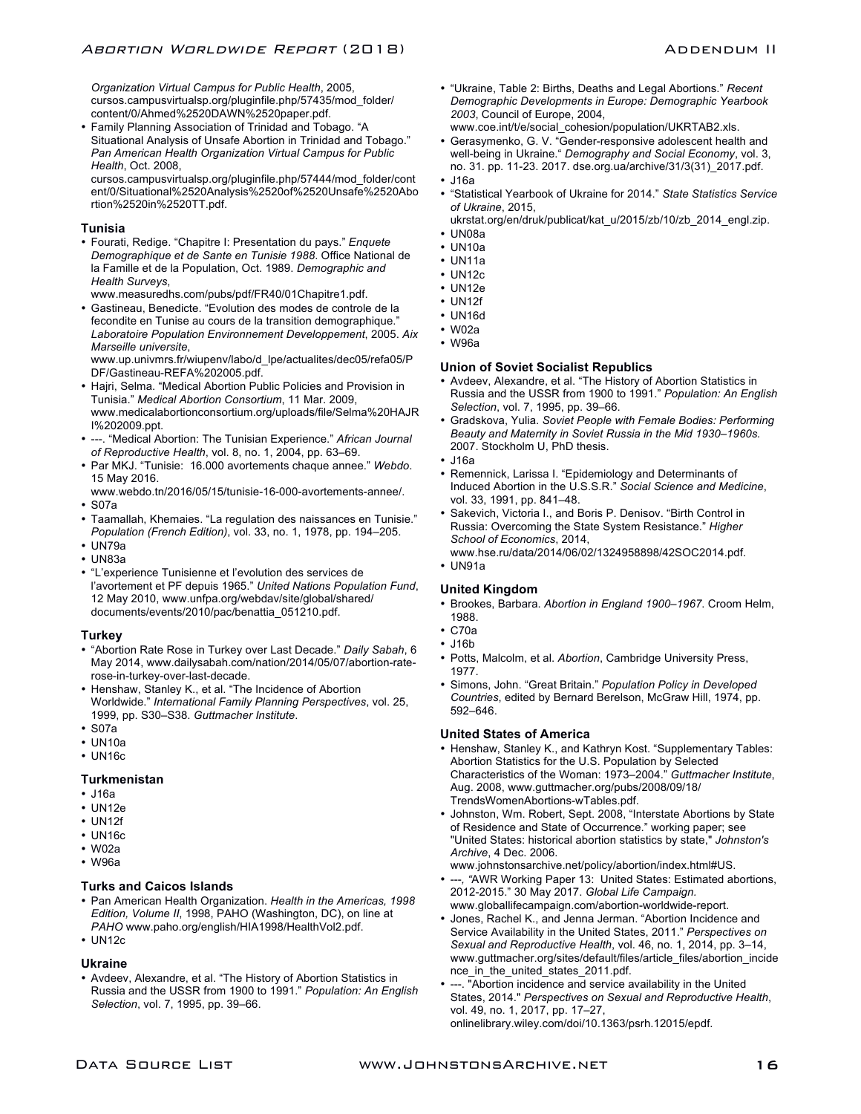*Organization Virtual Campus for Public Health*, 2005, cursos.campusvirtualsp.org/pluginfile.php/57435/mod\_folder/ content/0/Ahmed%2520DAWN%2520paper.pdf.

• Family Planning Association of Trinidad and Tobago. "A Situational Analysis of Unsafe Abortion in Trinidad and Tobago." *Pan American Health Organization Virtual Campus for Public Health*, Oct. 2008,

cursos.campusvirtualsp.org/pluginfile.php/57444/mod\_folder/cont ent/0/Situational%2520Analysis%2520of%2520Unsafe%2520Abo rtion%2520in%2520TT.pdf.

#### **Tunisia**

• Fourati, Redige. "Chapitre I: Presentation du pays." *Enquete Demographique et de Sante en Tunisie 1988*. Office National de la Famille et de la Population, Oct. 1989. *Demographic and Health Surveys*,

www.measuredhs.com/pubs/pdf/FR40/01Chapitre1.pdf.

• Gastineau, Benedicte. "Evolution des modes de controle de la fecondite en Tunise au cours de la transition demographique." *Laboratoire Population Environnement Developpement*, 2005. *Aix Marseille universite*,

www.up.univmrs.fr/wiupenv/labo/d\_lpe/actualites/dec05/refa05/P DF/Gastineau-REFA%202005.pdf.

- Hajri, Selma. "Medical Abortion Public Policies and Provision in Tunisia." *Medical Abortion Consortium*, 11 Mar. 2009, www.medicalabortionconsortium.org/uploads/file/Selma%20HAJR I%202009.ppt.
- ---. "Medical Abortion: The Tunisian Experience." *African Journal of Reproductive Health*, vol. 8, no. 1, 2004, pp. 63–69.
- Par MKJ. "Tunisie: 16.000 avortements chaque annee." *Webdo*. 15 May 2016.
- www.webdo.tn/2016/05/15/tunisie-16-000-avortements-annee/. • S07a
- Taamallah, Khemaies. "La regulation des naissances en Tunisie." *Population (French Edition)*, vol. 33, no. 1, 1978, pp. 194–205.
- UN79a
- UN83a
- "L'experience Tunisienne et l'evolution des services de l'avortement et PF depuis 1965." *United Nations Population Fund*, 12 May 2010, www.unfpa.org/webdav/site/global/shared/ documents/events/2010/pac/benattia\_051210.pdf.

#### **Turkey**

- "Abortion Rate Rose in Turkey over Last Decade." *Daily Sabah*, 6 May 2014, www.dailysabah.com/nation/2014/05/07/abortion-raterose-in-turkey-over-last-decade.
- Henshaw, Stanley K., et al. "The Incidence of Abortion Worldwide." *International Family Planning Perspectives*, vol. 25, 1999, pp. S30–S38. *Guttmacher Institute*.
- S07a
- UN10a
- UN16c

# **Turkmenistan**

- J16a
- UN12e
- UN12f
- UN16c
- W02a
- W96a

#### **Turks and Caicos Islands**

- Pan American Health Organization. *Health in the Americas, 1998 Edition, Volume II*, 1998, PAHO (Washington, DC), on line at *PAHO* www.paho.org/english/HIA1998/HealthVol2.pdf.
- UN12c

#### **Ukraine**

• Avdeev, Alexandre, et al. "The History of Abortion Statistics in Russia and the USSR from 1900 to 1991." *Population: An English Selection*, vol. 7, 1995, pp. 39–66.

- "Ukraine, Table 2: Births, Deaths and Legal Abortions." *Recent Demographic Developments in Europe: Demographic Yearbook 2003*, Council of Europe, 2004, www.coe.int/t/e/social\_cohesion/population/UKRTAB2.xls.
- Gerasymenko, G. V. "Gender-responsive adolescent health and well-being in Ukraine." *Demography and Social Economy*, vol. 3, no. 31. pp. 11-23. 2017. dse.org.ua/archive/31/3(31)\_2017.pdf.
- J16a
- "Statistical Yearbook of Ukraine for 2014." *State Statistics Service of Ukraine*, 2015,

ukrstat.org/en/druk/publicat/kat\_u/2015/zb/10/zb\_2014\_engl.zip. • UN08a

- UN10a
- UN11a
- UN12c
- UN12e
- UN12f
- UN16d
- W02a
- W96a

#### **Union of Soviet Socialist Republics**

- Avdeev, Alexandre, et al. "The History of Abortion Statistics in Russia and the USSR from 1900 to 1991." *Population: An English Selection*, vol. 7, 1995, pp. 39–66.
- Gradskova, Yulia. *Soviet People with Female Bodies: Performing Beauty and Maternity in Soviet Russia in the Mid 1930–1960s.*  2007. Stockholm U, PhD thesis.
- J16a
- Remennick, Larissa I. "Epidemiology and Determinants of Induced Abortion in the U.S.S.R." *Social Science and Medicine*, vol. 33, 1991, pp. 841–48.
- Sakevich, Victoria I., and Boris P. Denisov. "Birth Control in Russia: Overcoming the State System Resistance." *Higher School of Economics*, 2014, www.hse.ru/data/2014/06/02/1324958898/42SOC2014.pdf.
- UN91a

# **United Kingdom**

- Brookes, Barbara. *Abortion in England 1900–1967*. Croom Helm, 1988.
- C70a
- J16b
- Potts, Malcolm, et al. *Abortion*, Cambridge University Press, 1977.
- Simons, John. "Great Britain." *Population Policy in Developed Countries*, edited by Bernard Berelson, McGraw Hill, 1974, pp. 592–646.

#### **United States of America**

- Henshaw, Stanley K., and Kathryn Kost. "Supplementary Tables: Abortion Statistics for the U.S. Population by Selected Characteristics of the Woman: 1973–2004." *Guttmacher Institute*, Aug. 2008, www.guttmacher.org/pubs/2008/09/18/ TrendsWomenAbortions-wTables.pdf.
- Johnston, Wm. Robert, Sept. 2008, "Interstate Abortions by State of Residence and State of Occurrence." working paper; see "United States: historical abortion statistics by state," *Johnston's Archive*, 4 Dec. 2006. www.johnstonsarchive.net/policy/abortion/index.html#US.
- ---*, "*AWR Working Paper 13: United States: Estimated abortions, 2012-2015." 30 May 2017. *Global Life Campaign.* www.globallifecampaign.com/abortion-worldwide-report.
- Jones, Rachel K., and Jenna Jerman. "Abortion Incidence and Service Availability in the United States, 2011." *Perspectives on Sexual and Reproductive Health*, vol. 46, no. 1, 2014, pp. 3–14, www.guttmacher.org/sites/default/files/article\_files/abortion\_incide nce\_in\_the\_united\_states\_2011.pdf.
- ---. "Abortion incidence and service availability in the United States, 2014." *Perspectives on Sexual and Reproductive Health*, vol. 49, no. 1, 2017, pp. 17–27, onlinelibrary.wiley.com/doi/10.1363/psrh.12015/epdf.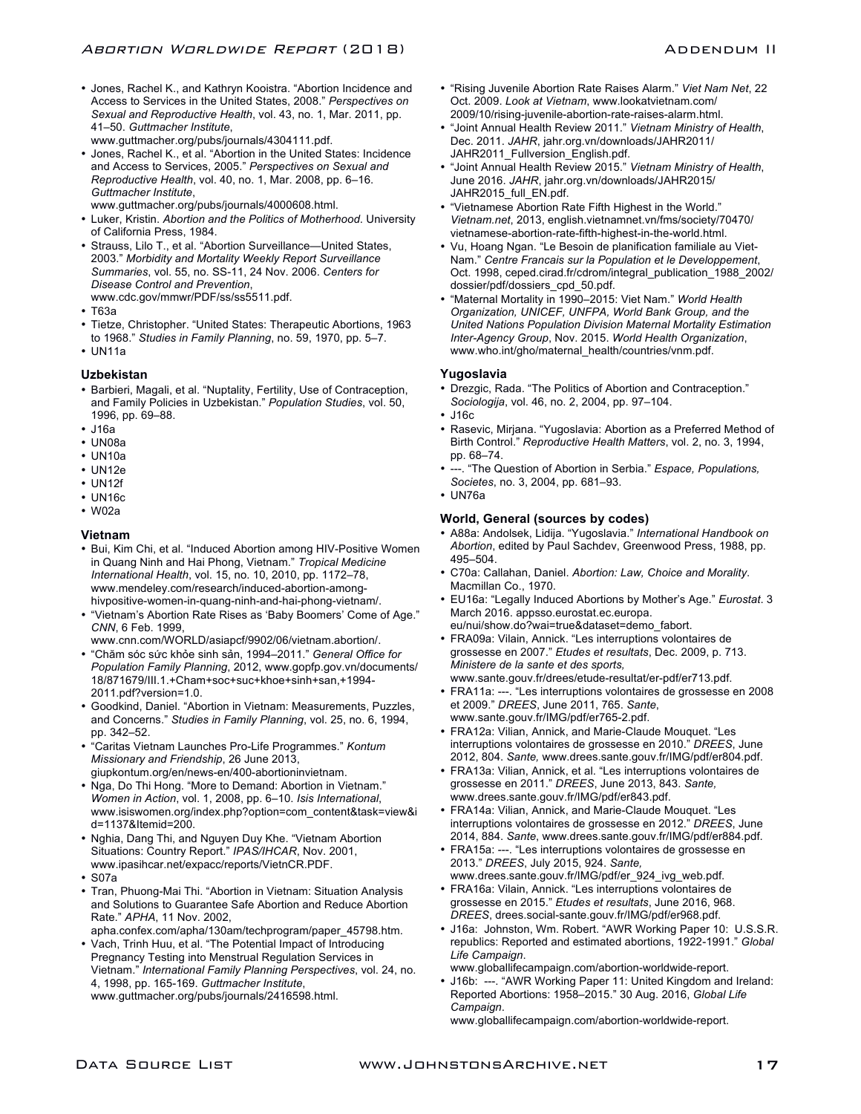• Jones, Rachel K., and Kathryn Kooistra. "Abortion Incidence and Access to Services in the United States, 2008." *Perspectives on Sexual and Reproductive Health*, vol. 43, no. 1, Mar. 2011, pp. 41–50. *Guttmacher Institute*,

www.guttmacher.org/pubs/journals/4304111.pdf.

• Jones, Rachel K., et al. "Abortion in the United States: Incidence and Access to Services, 2005." *Perspectives on Sexual and Reproductive Health*, vol. 40, no. 1, Mar. 2008, pp. 6–16. *Guttmacher Institute*,

www.guttmacher.org/pubs/journals/4000608.html.

- Luker, Kristin. *Abortion and the Politics of Motherhood*. University of California Press, 1984.
- Strauss, Lilo T., et al. "Abortion Surveillance—United States, 2003." *Morbidity and Mortality Weekly Report Surveillance Summaries*, vol. 55, no. SS-11, 24 Nov. 2006. *Centers for Disease Control and Prevention*, www.cdc.gov/mmwr/PDF/ss/ss5511.pdf.
- T63a
- Tietze, Christopher. "United States: Therapeutic Abortions, 1963 to 1968." *Studies in Family Planning*, no. 59, 1970, pp. 5–7.
- UN11a

#### **Uzbekistan**

- Barbieri, Magali, et al. "Nuptality, Fertility, Use of Contraception, and Family Policies in Uzbekistan." *Population Studies*, vol. 50, 1996, pp. 69–88.
- J16a
- UN08a
- UN10a
- $\cdot$  UN12e
- UN12f
- UN16c
- W02a

#### **Vietnam**

- Bui, Kim Chi, et al. "Induced Abortion among HIV-Positive Women in Quang Ninh and Hai Phong, Vietnam." *Tropical Medicine International Health*, vol. 15, no. 10, 2010, pp. 1172–78, www.mendeley.com/research/induced-abortion-amonghivpositive-women-in-quang-ninh-and-hai-phong-vietnam/.
- "Vietnam's Abortion Rate Rises as 'Baby Boomers' Come of Age." *CNN*, 6 Feb. 1999,
- www.cnn.com/WORLD/asiapcf/9902/06/vietnam.abortion/.
- "Chăm sóc sức khỏe sinh sản, 1994–2011." *General Office for Population Family Planning*, 2012, www.gopfp.gov.vn/documents/ 18/871679/III.1.+Cham+soc+suc+khoe+sinh+san,+1994- 2011.pdf?version=1.0.
- Goodkind, Daniel. "Abortion in Vietnam: Measurements, Puzzles, and Concerns." *Studies in Family Planning*, vol. 25, no. 6, 1994, pp. 342–52.
- "Caritas Vietnam Launches Pro-Life Programmes." *Kontum Missionary and Friendship*, 26 June 2013, giupkontum.org/en/news-en/400-abortioninvietnam.
- Nga, Do Thi Hong. "More to Demand: Abortion in Vietnam." *Women in Action*, vol. 1, 2008, pp. 6–10. *Isis International*, www.isiswomen.org/index.php?option=com\_content&task=view&i d=1137&Itemid=200.
- Nghia, Dang Thi, and Nguyen Duy Khe. "Vietnam Abortion Situations: Country Report." *IPAS/IHCAR*, Nov. 2001, www.ipasihcar.net/expacc/reports/VietnCR.PDF.
- S07a
- Tran, Phuong-Mai Thi. "Abortion in Vietnam: Situation Analysis and Solutions to Guarantee Safe Abortion and Reduce Abortion Rate." *APHA*, 11 Nov. 2002,
- apha.confex.com/apha/130am/techprogram/paper\_45798.htm. • Vach, Trinh Huu, et al. "The Potential Impact of Introducing
- Pregnancy Testing into Menstrual Regulation Services in Vietnam." *International Family Planning Perspectives*, vol. 24, no. 4, 1998, pp. 165-169. *Guttmacher Institute*, www.guttmacher.org/pubs/journals/2416598.html.
- "Rising Juvenile Abortion Rate Raises Alarm." *Viet Nam Net*, 22 Oct. 2009. *Look at Vietnam*, www.lookatvietnam.com/ 2009/10/rising-juvenile-abortion-rate-raises-alarm.html.
- "Joint Annual Health Review 2011." *Vietnam Ministry of Health*, Dec. 2011. *JAHR*, jahr.org.vn/downloads/JAHR2011/ JAHR2011\_Fullversion\_English.pdf.
- "Joint Annual Health Review 2015." *Vietnam Ministry of Health*, June 2016. *JAHR*, jahr.org.vn/downloads/JAHR2015/ JAHR2015\_full\_EN.pdf.
- "Vietnamese Abortion Rate Fifth Highest in the World." *Vietnam.net*, 2013, english.vietnamnet.vn/fms/society/70470/ vietnamese-abortion-rate-fifth-highest-in-the-world.html.
- Vu, Hoang Ngan. "Le Besoin de planification familiale au Viet-Nam." *Centre Francais sur la Population et le Developpement*, Oct. 1998, ceped.cirad.fr/cdrom/integral\_publication\_1988\_2002/ dossier/pdf/dossiers\_cpd\_50.pdf.
- "Maternal Mortality in 1990–2015: Viet Nam." *World Health Organization, UNICEF, UNFPA, World Bank Group, and the United Nations Population Division Maternal Mortality Estimation Inter-Agency Group*, Nov. 2015. *World Health Organization*, www.who.int/gho/maternal\_health/countries/vnm.pdf.

#### **Yugoslavia**

- Drezgic, Rada. "The Politics of Abortion and Contraception." *Sociologija*, vol. 46, no. 2, 2004, pp. 97–104.
- J16c
- Rasevic, Mirjana. "Yugoslavia: Abortion as a Preferred Method of Birth Control." *Reproductive Health Matters*, vol. 2, no. 3, 1994, pp. 68–74.
- ---. "The Question of Abortion in Serbia." *Espace, Populations, Societes*, no. 3, 2004, pp. 681–93.
- UN76a

#### **World, General (sources by codes)**

- A88a: Andolsek, Lidija. "Yugoslavia." *International Handbook on Abortion*, edited by Paul Sachdev, Greenwood Press, 1988, pp. 495–504.
- C70a: Callahan, Daniel. *Abortion: Law, Choice and Morality*. Macmillan Co., 1970.
- EU16a: "Legally Induced Abortions by Mother's Age." *Eurostat*. 3 March 2016. appsso.eurostat.ec.europa. eu/nui/show.do?wai=true&dataset=demo\_fabort.
- FRA09a: Vilain, Annick. "Les interruptions volontaires de grossesse en 2007." *Etudes et resultats*, Dec. 2009, p. 713. *Ministere de la sante et des sports,* www.sante.gouv.fr/drees/etude-resultat/er-pdf/er713.pdf.
- FRA11a: ---. "Les interruptions volontaires de grossesse en 2008 et 2009." *DREES*, June 2011, 765. *Sante*, www.sante.gouv.fr/IMG/pdf/er765-2.pdf.
- FRA12a: Vilian, Annick, and Marie-Claude Mouquet. "Les interruptions volontaires de grossesse en 2010." *DREES*, June 2012, 804. *Sante,* www.drees.sante.gouv.fr/IMG/pdf/er804.pdf.
- FRA13a: Vilian, Annick, et al. "Les interruptions volontaires de grossesse en 2011." *DREES*, June 2013, 843. *Sante,* www.drees.sante.gouv.fr/IMG/pdf/er843.pdf.
- FRA14a: Vilian, Annick, and Marie-Claude Mouquet. "Les interruptions volontaires de grossesse en 2012." *DREES*, June 2014, 884. *Sante*, www.drees.sante.gouv.fr/IMG/pdf/er884.pdf.
- FRA15a: ---. "Les interruptions volontaires de grossesse en 2013." *DREES*, July 2015, 924. *Sante,* www.drees.sante.gouv.fr/IMG/pdf/er\_924\_ivg\_web.pdf.
- FRA16a: Vilain, Annick. "Les interruptions volontaires de grossesse en 2015." *Etudes et resultats*, June 2016, 968. *DREES*, drees.social-sante.gouv.fr/IMG/pdf/er968.pdf.
- J16a: Johnston, Wm. Robert. "AWR Working Paper 10: U.S.S.R. republics: Reported and estimated abortions, 1922-1991." *Global Life Campaign*.

www.globallifecampaign.com/abortion-worldwide-report.

• J16b: ---. "AWR Working Paper 11: United Kingdom and Ireland: Reported Abortions: 1958–2015." 30 Aug. 2016, *Global Life Campaign*.

www.globallifecampaign.com/abortion-worldwide-report.